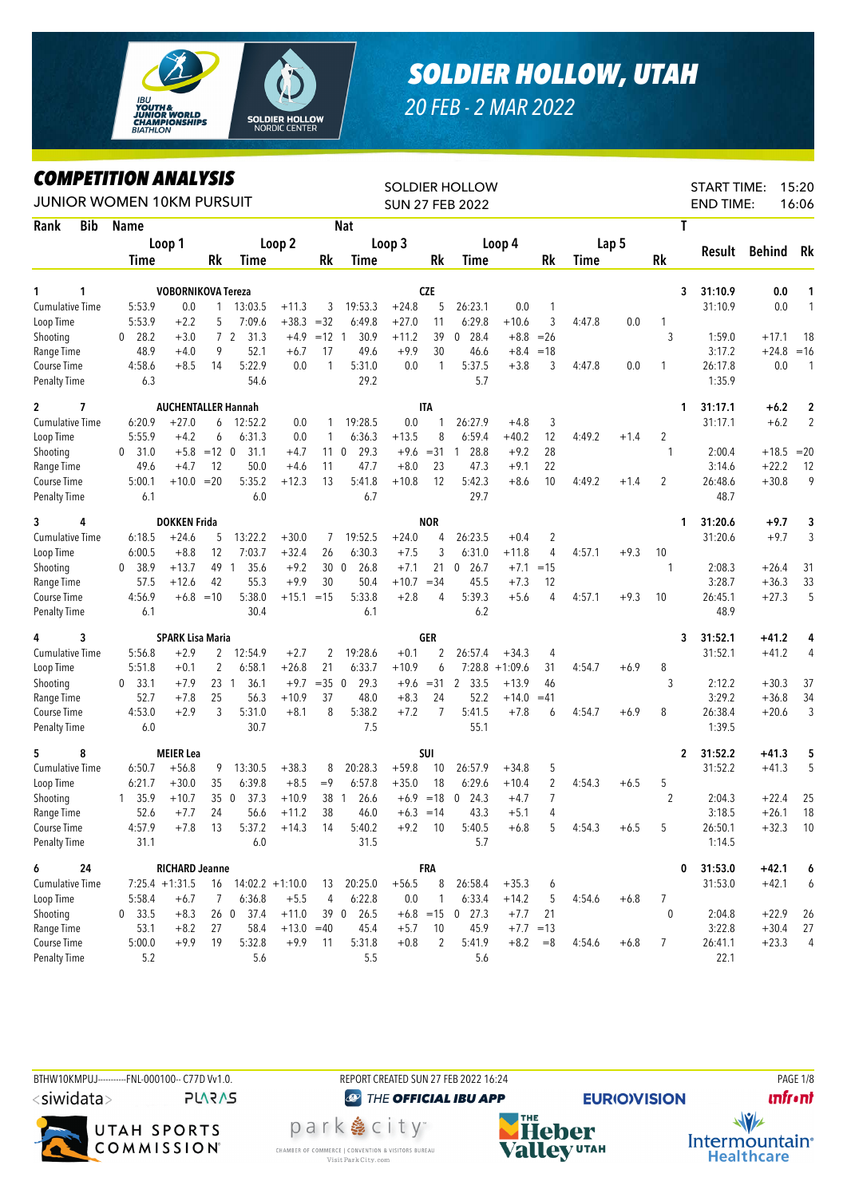

## *SOLDIER HOLLOW, UTAH*

*20 FEB - 2 MAR 2022*

## *COMPETITION ANALYSIS*

| <i><b>COMPEILION ANALYSIS</b></i><br><b>JUNIOR WOMEN 10KM PURSUIT</b> |                      |                            |                |                          |              |                 |            |             |                | <b>SOLDIER HOLLOW</b><br><b>SUN 27 FEB 2022</b> |           |                |             |        |                | <b>START TIME:</b><br><b>END TIME:</b> |         | 15:20<br>16:06 |
|-----------------------------------------------------------------------|----------------------|----------------------------|----------------|--------------------------|--------------|-----------------|------------|-------------|----------------|-------------------------------------------------|-----------|----------------|-------------|--------|----------------|----------------------------------------|---------|----------------|
| Rank<br><b>Bib</b>                                                    | Name                 |                            |                |                          |              |                 | <b>Nat</b> |             |                |                                                 |           |                |             |        | T              |                                        |         |                |
|                                                                       |                      | Loop 1                     |                |                          | Loop 2       |                 |            | Loop 3      |                |                                                 | Loop 4    |                |             | Lap 5  |                |                                        |         |                |
|                                                                       | Time                 |                            | Rk             | Time                     |              | Rk              | Time       |             | Rk             | Time                                            |           | Rk             | <b>Time</b> |        | <b>Rk</b>      | Result                                 | Behind  | Rk             |
| 1<br>1                                                                |                      | <b>VOBORNIKOVA Tereza</b>  |                |                          |              |                 |            |             | <b>CZE</b>     |                                                 |           |                |             |        | 3              | 31:10.9                                | 0.0     | 1              |
| <b>Cumulative Time</b>                                                | 5:53.9               | 0.0                        | $\mathbf{1}$   | 13:03.5                  | $+11.3$      | 3               | 19:53.3    | $+24.8$     | 5              | 26:23.1                                         | 0.0       | 1              |             |        |                | 31:10.9                                | 0.0     | $\mathbf{1}$   |
| Loop Time                                                             | 5:53.9               | $+2.2$                     | 5              | 7:09.6                   | $+38.3 = 32$ |                 | 6:49.8     | $+27.0$     | 11             | 6:29.8                                          | $+10.6$   | 3              | 4:47.8      | 0.0    | $\mathbf{1}$   |                                        |         |                |
| Shooting                                                              | 28.2<br>0            | $+3.0$                     |                | 72<br>31.3               | $+4.9$       | $=12$ 1         | 30.9       | $+11.2$     | 39             | 28.4<br>$\mathbf{0}$                            | $+8.8$    | $=26$          |             |        | 3              | 1:59.0                                 | $+17.1$ | 18             |
| Range Time                                                            | 48.9                 | $+4.0$                     | 9              | 52.1                     | $+6.7$       | 17              | 49.6       | $+9.9$      | 30             | 46.6                                            | $+8.4$    | $=18$          |             |        |                | 3:17.2                                 | $+24.8$ | $=16$          |
| Course Time                                                           | 4:58.6               | $+8.5$                     | 14             | 5:22.9                   | 0.0          | 1               | 5:31.0     | 0.0         | 1              | 5:37.5                                          | $+3.8$    | 3              | 4:47.8      | 0.0    | 1              | 26:17.8                                | 0.0     | $\overline{1}$ |
| <b>Penalty Time</b>                                                   | 6.3                  |                            |                | 54.6                     |              |                 | 29.2       |             |                | 5.7                                             |           |                |             |        |                | 1:35.9                                 |         |                |
| 7<br>$\mathbf{2}$                                                     |                      | <b>AUCHENTALLER Hannah</b> |                |                          |              |                 |            |             | <b>ITA</b>     |                                                 |           |                |             |        | 1              | 31:17.1                                | $+6.2$  | $\overline{2}$ |
| <b>Cumulative Time</b>                                                | 6:20.9               | $+27.0$                    | 6              | 12:52.2                  | 0.0          | 1               | 19:28.5    | 0.0         | 1              | 26:27.9                                         | $+4.8$    | 3              |             |        |                | 31:17.1                                | $+6.2$  | $\overline{2}$ |
| Loop Time                                                             | 5:55.9               | $+4.2$                     | 6              | 6:31.3                   | 0.0          | 1               | 6:36.3     | $+13.5$     | 8              | 6:59.4                                          | $+40.2$   | 12             | 4:49.2      | $+1.4$ | 2              |                                        |         |                |
| Shooting                                                              | 31.0<br>$^{0}$       | $+5.8$                     | $=12$ 0        | 31.1                     | $+4.7$       | 11 <sub>0</sub> | 29.3       | $+9.6$      | $= 31$         | 28.8<br>$\overline{1}$                          | $+9.2$    | 28             |             |        | $\mathbf{1}$   | 2:00.4                                 | $+18.5$ | $=20$          |
| Range Time                                                            | 49.6                 | $+4.7$                     | 12             | 50.0                     | $+4.6$       | 11              | 47.7       | $+8.0$      | 23             | 47.3                                            | $+9.1$    | 22             |             |        |                | 3:14.6                                 | $+22.2$ | 12             |
| Course Time                                                           | 5:00.1               | $+10.0 = 20$               |                | 5:35.2                   | $+12.3$      | 13              | 5:41.8     | $+10.8$     | 12             | 5:42.3                                          | $+8.6$    | 10             | 4:49.2      | $+1.4$ | $\overline{2}$ | 26:48.6                                | $+30.8$ | 9              |
| <b>Penalty Time</b>                                                   | 6.1                  |                            |                | 6.0                      |              |                 | 6.7        |             |                | 29.7                                            |           |                |             |        |                | 48.7                                   |         |                |
| 3<br>4                                                                |                      | <b>DOKKEN Frida</b>        |                |                          |              |                 |            |             | <b>NOR</b>     |                                                 |           |                |             |        | 1              | 31:20.6                                | $+9.7$  | 3              |
| <b>Cumulative Time</b>                                                | 6:18.5               | $+24.6$                    | 5              | 13:22.2                  | $+30.0$      | 7               | 19:52.5    | $+24.0$     | 4              | 26:23.5                                         | $+0.4$    | $\overline{c}$ |             |        |                | 31:20.6                                | $+9.7$  | 3              |
| Loop Time                                                             | 6:00.5               | $+8.8$                     | 12             | 7:03.7                   | $+32.4$      | 26              | 6:30.3     | $+7.5$      | 3              | 6:31.0                                          | $+11.8$   | 4              | 4:57.1      | $+9.3$ | 10             |                                        |         |                |
| Shooting                                                              | 38.9<br>$\mathbf{0}$ | $+13.7$                    | 49             | $\overline{1}$<br>35.6   | $+9.2$       | 300             | 26.8       | $+7.1$      | 21             | 26.7<br>$\boldsymbol{0}$                        | $+7.1$    | $=15$          |             |        | 1              | 2:08.3                                 | $+26.4$ | 31             |
| Range Time                                                            | 57.5                 | $+12.6$                    | 42             | 55.3                     | $+9.9$       | 30              | 50.4       | $+10.7$     | $= 34$         | 45.5                                            | $+7.3$    | 12             |             |        |                | 3:28.7                                 | $+36.3$ | 33             |
| Course Time                                                           | 4:56.9               |                            | $+6.8 = 10$    | 5:38.0                   | $+15.1 = 15$ |                 | 5:33.8     | $+2.8$      | 4              | 5:39.3                                          | $+5.6$    | 4              | 4:57.1      | $+9.3$ | 10             | 26:45.1                                | $+27.3$ | 5              |
| <b>Penalty Time</b>                                                   | 6.1                  |                            |                | 30.4                     |              |                 | 6.1        |             |                | 6.2                                             |           |                |             |        |                | 48.9                                   |         |                |
| 3<br>4                                                                |                      | <b>SPARK Lisa Maria</b>    |                |                          |              |                 |            |             | GER            |                                                 |           |                |             |        | 3              | 31:52.1                                | $+41.2$ | 4              |
| <b>Cumulative Time</b>                                                | 5:56.8               | $+2.9$                     | 2              | 12:54.9                  | $+2.7$       | 2               | 19:28.6    | $+0.1$      | 2              | 26:57.4                                         | $+34.3$   | 4              |             |        |                | 31:52.1                                | $+41.2$ | 4              |
| Loop Time                                                             | 5:51.8               | $+0.1$                     | $\overline{2}$ | 6:58.1                   | $+26.8$      | 21              | 6:33.7     | $+10.9$     | 6              | 7:28.8                                          | $+1:09.6$ | 31             | 4:54.7      | $+6.9$ | 8              |                                        |         |                |
| Shooting                                                              | 0, 33.1              | $+7.9$                     |                | 23 1<br>36.1             | $+9.7$       | $=35$ 0         | 29.3       | $+9.6$      | $= 31$         | 2 33.5                                          | $+13.9$   | 46             |             |        | 3              | 2:12.2                                 | $+30.3$ | 37             |
| Range Time                                                            | 52.7                 | $+7.8$                     | 25             | 56.3                     | $+10.9$      | 37              | 48.0       | $+8.3$      | 24             | 52.2                                            | $+14.0$   | $=41$          |             |        |                | 3:29.2                                 | $+36.8$ | 34             |
| Course Time                                                           | 4:53.0               | $+2.9$                     | 3              | 5:31.0                   | $+8.1$       | 8               | 5:38.2     | $+7.2$      | $\overline{7}$ | 5:41.5                                          | $+7.8$    | 6              | 4:54.7      | $+6.9$ | 8              | 26:38.4                                | $+20.6$ | 3              |
| <b>Penalty Time</b>                                                   | 6.0                  |                            |                | 30.7                     |              |                 | 7.5        |             |                | 55.1                                            |           |                |             |        |                | 1:39.5                                 |         |                |
| 8<br>5                                                                |                      | <b>MEIER Lea</b>           |                |                          |              |                 |            |             | SUI            |                                                 |           |                |             |        | 2              | 31:52.2                                | $+41.3$ | 5              |
| <b>Cumulative Time</b>                                                | 6:50.7               | $+56.8$                    | 9              | 13:30.5                  | $+38.3$      | 8               | 20:28.3    | $+59.8$     | 10             | 26:57.9                                         | $+34.8$   | 5              |             |        |                | 31:52.2                                | $+41.3$ | 5              |
| Loop Time                                                             | 6:21.7               | $+30.0$                    | 35             | 6:39.8                   | $+8.5$       | $=9$            | 6:57.8     | $+35.0$     | 18             | 6:29.6                                          | $+10.4$   | 2              | 4:54.3      | $+6.5$ | 5              |                                        |         |                |
| Shooting                                                              | 35.9<br>$\mathbf{1}$ | $+10.7$                    |                | 350<br>37.3              | $+10.9$      | 38              | 26.6<br>-1 |             | $+6.9 = 18$    | $\bf{0}$<br>24.3                                | $+4.7$    | $\overline{7}$ |             |        | $\overline{2}$ | 2:04.3                                 | $+22.4$ | 25             |
| Range Time                                                            | 52.6                 | $+7.7$                     | 24             | 56.6                     | $+11.2$      | 38              | 46.0       | $+6.3 = 14$ |                | 43.3                                            | $+5.1$    | 4              |             |        |                | 3:18.5                                 | $+26.1$ | 18             |
| Course Time                                                           | 4:57.9               | $+7.8$                     | 13             | 5:37.2                   | $+14.3$      | 14              | 5:40.2     | $+9.2$      | 10             | 5:40.5                                          | $+6.8$    | 5              | 4:54.3      | $+6.5$ | 5              | 26:50.1                                | $+32.3$ | 10             |
| Penalty Time                                                          | 31.1                 |                            |                | $6.0\,$                  |              |                 | 31.5       |             |                | 5.7                                             |           |                |             |        |                | 1:14.5                                 |         |                |
| 6<br>24                                                               |                      | <b>RICHARD Jeanne</b>      |                |                          |              |                 |            |             | <b>FRA</b>     |                                                 |           |                |             |        | 0              | 31:53.0                                | $+42.1$ | 6              |
| Cumulative Time                                                       |                      | $7:25.4 +1:31.5$           |                | $16$ $14:02.2$ $+1:10.0$ |              | 13              | 20:25.0    | $+56.5$     | 8              | 26:58.4                                         | $+35.3$   | 6              |             |        |                | 31:53.0                                | $+42.1$ | 6              |
| Loop Time                                                             | 5:58.4               | $+6.7$                     | 7              | 6:36.8                   | $+5.5$       | 4               | 6:22.8     | $0.0\,$     | $\mathbf{1}$   | 6:33.4                                          | $+14.2$   | 5              | 4:54.6      | $+6.8$ | 7              |                                        |         |                |
| Shooting                                                              | 0 33.5               | $+8.3$                     |                | 26 0 37.4                | $+11.0$      |                 | 39 0 26.5  |             |                | $+6.8$ = 15 0 27.3                              | $+7.7$    | 21             |             |        | $\mathbf{0}$   | 2:04.8                                 | $+22.9$ | 26             |
| Range Time                                                            | 53.1                 | $+8.2$                     | 27             | 58.4                     | $+13.0 = 40$ |                 | 45.4       | $+5.7$      | 10             | 45.9                                            |           | $+7.7 = 13$    |             |        |                | 3:22.8                                 | $+30.4$ | 27             |
| Course Time                                                           | 5:00.0               | $+9.9$                     | 19             | 5:32.8                   | $+9.9$       | 11              | 5:31.8     | $+0.8$      | 2              | 5:41.9                                          | $+8.2$    | $=8$           | 4:54.6      | $+6.8$ | 7              | 26:41.1                                | $+23.3$ | $\overline{4}$ |
| <b>Penalty Time</b>                                                   | 5.2                  |                            |                | 5.6                      |              |                 | 5.5        |             |                | 5.6                                             |           |                |             |        |                | 22.1                                   |         |                |



**PLARAS** 



park 急 city<sup>®</sup>

CHAMBER OF COMMERCE | CONVENTION & VISITORS BUREAU

Visit Park City.com

<sup><sup>2</sup> THE OFFICIAL IBU APP</sup>

**EURIO)VISION** 

**unfront** 



 $\sqrt{v}$ Intermountain<sup>®</sup> **Healthcare**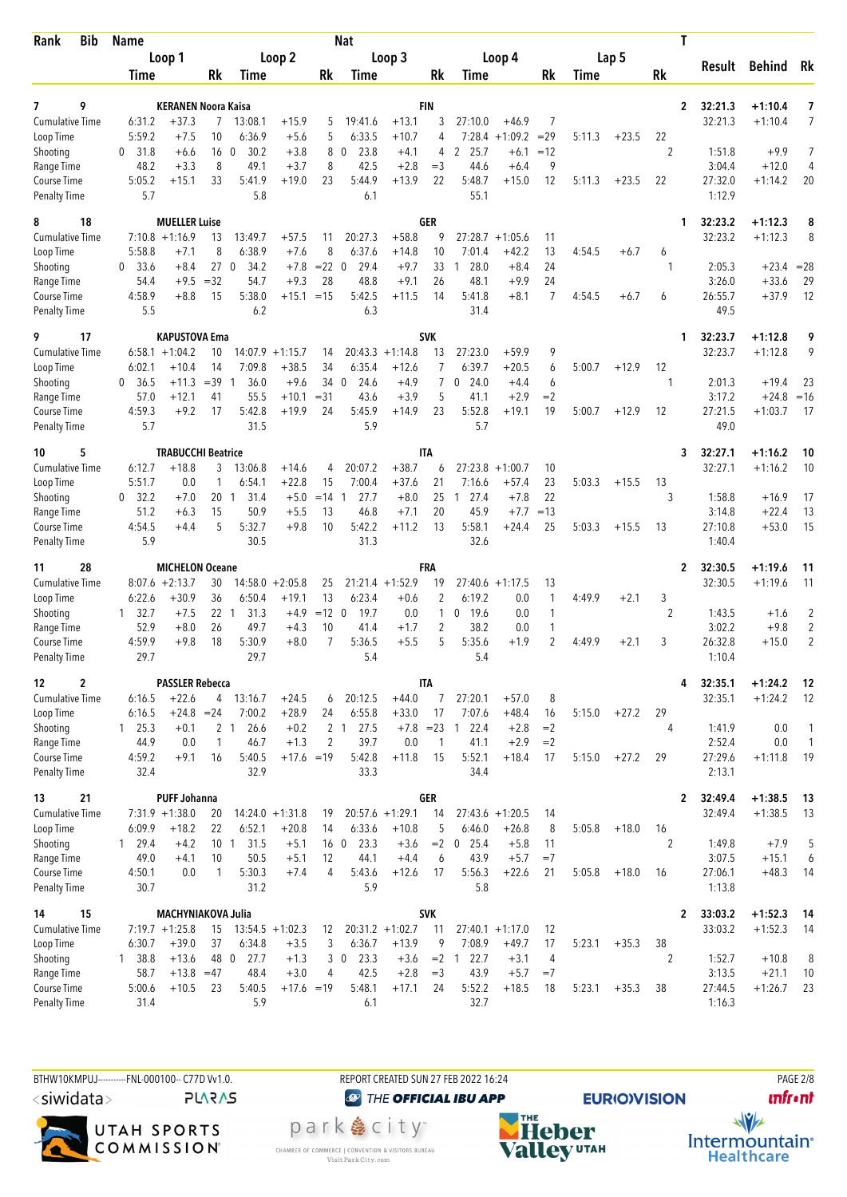| Bib<br>Rank                               | <b>Name</b>      |                                       |                 |                        |                               |                 | <b>Nat</b>             |                               |                |                        |                               |                    |        |         | T              |                    |                        |                |
|-------------------------------------------|------------------|---------------------------------------|-----------------|------------------------|-------------------------------|-----------------|------------------------|-------------------------------|----------------|------------------------|-------------------------------|--------------------|--------|---------|----------------|--------------------|------------------------|----------------|
|                                           |                  | Loop 1                                |                 |                        | Loop 2                        |                 |                        | Loop 3                        |                |                        | Loop 4                        |                    |        | Lap 5   |                | Result             | <b>Behind</b>          | Rk             |
|                                           | Time             |                                       | Rk              | Time                   |                               | Rk              | Time                   |                               | Rk             | Time                   |                               | Rk                 | Time   |         | Rk             |                    |                        |                |
| 9<br>7                                    |                  |                                       |                 |                        |                               |                 |                        |                               | <b>FIN</b>     |                        |                               |                    |        |         |                |                    |                        |                |
| <b>Cumulative Time</b>                    | 6:31.2           | <b>KERANEN Noora Kaisa</b><br>$+37.3$ | $7^{\circ}$     | 13:08.1                | $+15.9$                       | 5               | 19:41.6                | $+13.1$                       | 3              | 27:10.0                | $+46.9$                       | 7                  |        |         | $\mathbf{2}$   | 32:21.3<br>32:21.3 | $+1:10.4$<br>$+1:10.4$ | 7<br>7         |
| Loop Time                                 | 5:59.2           | $+7.5$                                | 10              | 6:36.9                 | $+5.6$                        | 5               | 6:33.5                 | $+10.7$                       | 4              | 7:28.4                 | $+1:09.2$                     | $=29$              | 5:11.3 | $+23.5$ | 22             |                    |                        |                |
| Shooting                                  | 31.8<br>0        | $+6.6$                                | 160             | 30.2                   | $+3.8$                        | 8               | 23.8<br>$\mathbf{0}$   | $+4.1$                        | 4              | 25.7<br>2              | $+6.1$                        | $=12$              |        |         | 2              | 1:51.8             | $+9.9$                 | $\overline{7}$ |
| Range Time                                | 48.2             | $+3.3$                                | 8               | 49.1                   | $+3.7$                        | 8               | 42.5                   | $+2.8$                        | $=$ 3          | 44.6                   | $+6.4$                        | 9                  |        |         |                | 3:04.4             | $+12.0$                | 4              |
| <b>Course Time</b><br><b>Penalty Time</b> | 5:05.2<br>5.7    | $+15.1$                               | 33              | 5:41.9<br>5.8          | $+19.0$                       | 23              | 5:44.9<br>6.1          | $+13.9$                       | 22             | 5:48.7<br>55.1         | $+15.0$                       | 12                 | 5:11.3 | $+23.5$ | 22             | 27:32.0<br>1:12.9  | $+1:14.2$              | 20             |
| 18<br>8                                   |                  | <b>MUELLER Luise</b>                  |                 |                        |                               |                 |                        |                               | <b>GER</b>     |                        |                               |                    |        |         | 1              | 32:23.2            | $+1:12.3$              | 8              |
| <b>Cumulative Time</b>                    | 5:58.8           | $7:10.8 + 1:16.9$<br>$+7.1$           | 13<br>8         | 13:49.7<br>6:38.9      | $+57.5$<br>$+7.6$             | 11<br>8         | 20:27.3<br>6:37.6      | $+58.8$<br>$+14.8$            | 9<br>10        | 27:28.7<br>7:01.4      | $+1:05.6$<br>$+42.2$          | 11<br>13           | 4:54.5 | $+6.7$  |                | 32:23.2            | $+1:12.3$              | 8              |
| Loop Time<br>Shooting                     | 0<br>33.6        | $+8.4$                                | 27              | $\mathbf 0$<br>34.2    | $+7.8$                        | $= 22$          | 29.4<br>- 0            | $+9.7$                        | 33             | 28.0<br>1              | +8.4                          | 24                 |        |         | 6<br>1         | 2:05.3             | $+23.4$                | $= 28$         |
| Range Time                                | 54.4             |                                       | $+9.5 = 32$     | 54.7                   | $+9.3$                        | 28              | 48.8                   | $+9.1$                        | 26             | 48.1                   | $+9.9$                        | 24                 |        |         |                | 3:26.0             | $+33.6$                | 29             |
| Course Time                               | 4:58.9           | $+8.8$                                | 15              | 5:38.0                 | $+15.1$                       | $=15$           | 5:42.5                 | $+11.5$                       | 14             | 5:41.8                 | $+8.1$                        | 7                  | 4:54.5 | $+6.7$  | 6              | 26:55.7            | $+37.9$                | 12             |
| <b>Penalty Time</b>                       | 5.5              |                                       |                 | 6.2                    |                               |                 | 6.3                    |                               |                | 31.4                   |                               |                    |        |         |                | 49.5               |                        |                |
| 17<br>9                                   |                  | KAPUSTOVA Ema                         |                 |                        |                               |                 |                        |                               | <b>SVK</b>     |                        |                               |                    |        |         | 1              | 32:23.7            | $+1:12.8$              | 9              |
| <b>Cumulative Time</b><br>Loop Time       | 6:02.1           | $6:58.1 + 1:04.2$<br>$+10.4$          | 10<br>14        | 14:07.9<br>7:09.8      | $+1:15.7$<br>$+38.5$          | 14<br>34        | 20:43.3<br>6:35.4      | $+1:14.8$<br>$+12.6$          | 13<br>7        | 27:23.0<br>6:39.7      | $+59.9$<br>$+20.5$            | 9<br>6             | 5:00.7 | $+12.9$ | 12             | 32:23.7            | $+1:12.8$              | 9              |
| Shooting                                  | 0<br>36.5        | $+11.3$                               | $=39$           | 36.0<br>-1             | $+9.6$                        | 34 0            | 24.6                   | $+4.9$                        | $\overline{7}$ | 24.0<br>0              | $+4.4$                        | 6                  |        |         | 1              | 2:01.3             | $+19.4$                | 23             |
| Range Time                                | 57.0             | $+12.1$                               | 41              | 55.5                   | $+10.1$                       | $= 31$          | 43.6                   | $+3.9$                        | 5              | 41.1                   | $+2.9$                        | $=2$               |        |         |                | 3:17.2             | $+24.8$                | $=16$          |
| Course Time                               | 4:59.3           | $+9.2$                                | 17              | 5:42.8                 | $+19.9$                       | 24              | 5:45.9                 | $+14.9$                       | 23             | 5:52.8                 | $+19.1$                       | 19                 | 5:00.7 | $+12.9$ | 12             | 27:21.5            | $+1:03.7$              | 17             |
| <b>Penalty Time</b>                       | 5.7              |                                       |                 | 31.5                   |                               |                 | 5.9                    |                               |                | 5.7                    |                               |                    |        |         |                | 49.0               |                        |                |
| 5<br>10                                   |                  | <b>TRABUCCHI Beatrice</b>             |                 |                        |                               |                 |                        |                               | IΤΑ            |                        |                               |                    |        |         | 3              | 32:27.1            | $+1:16.2$              | 10             |
| <b>Cumulative Time</b><br>Loop Time       | 6:12.7<br>5:51.7 | $+18.8$<br>0.0                        | 3<br>1          | 13:06.8<br>6:54.1      | $+14.6$<br>$+22.8$            | 4<br>15         | 20:07.2<br>7:00.4      | $+38.7$<br>$+37.6$            | 6<br>21        | 27:23.8<br>7:16.6      | $+1:00.7$<br>$+57.4$          | 10<br>23           | 5:03.3 | $+15.5$ | 13             | 32:27.1            | $+1:16.2$              | 10             |
| Shooting                                  | 32.2<br>0        | $+7.0$                                | 20 1            | 31.4                   | $+5.0$                        | $=14$ 1         | 27.7                   | $+8.0$                        | 25             | 27.4<br>-1             | $+7.8$                        | 22                 |        |         | 3              | 1:58.8             | $+16.9$                | 17             |
| Range Time                                | 51.2             | $+6.3$                                | 15              | 50.9                   | $+5.5$                        | 13              | 46.8                   | $+7.1$                        | 20             | 45.9                   | $+7.7$                        | $=13$              |        |         |                | 3:14.8             | $+22.4$                | 13             |
| Course Time                               | 4:54.5           | $+4.4$                                | 5               | 5:32.7                 | $+9.8$                        | 10              | 5:42.2                 | $+11.2$                       | 13             | 5:58.1                 | $+24.4$                       | 25                 | 5:03.3 | $+15.5$ | 13             | 27:10.8            | $+53.0$                | 15             |
| <b>Penalty Time</b>                       | 5.9              |                                       |                 | 30.5                   |                               |                 | 31.3                   |                               |                | 32.6                   |                               |                    |        |         |                | 1:40.4             |                        |                |
| 28<br>11                                  |                  | <b>MICHELON Oceane</b>                |                 |                        |                               |                 |                        |                               | FRA            |                        |                               |                    |        |         | $\overline{2}$ | 32:30.5            | $+1:19.6$              | 11             |
| Cumulative Time<br>Loop Time              | 6:22.6           | $8:07.6 +2:13.7$<br>$+30.9$           | 30<br>36        | 6:50.4                 | $14:58.0 + 2:05.8$<br>$+19.1$ | 25<br>13        | 6:23.4                 | $21:21.4 +1:52.9$<br>$+0.6$   | 19<br>2        | 6:19.2                 | $27:40.6 + 1:17.5$<br>0.0     | 13<br>$\mathbf{1}$ | 4:49.9 | $+2.1$  | 3              | 32:30.5            | $+1:19.6$              | 11             |
| Shooting                                  | 32.7<br>1        | $+7.5$                                | 22              | 31.3<br>$\overline{1}$ | $+4.9$                        | $=12$ 0         | 19.7                   | 0.0                           | 1              | 19.6<br>0              | 0.0                           | $\mathbf{1}$       |        |         | 2              | 1:43.5             | $+1.6$                 | 2              |
| Range Time                                | 52.9             | $+8.0$                                | 26              | 49.7                   | $+4.3$                        | 10              | 41.4                   | $+1.7$                        | 2              | 38.2                   | 0.0                           | $\mathbf{1}$       |        |         |                | 3:02.2             | $+9.8$                 | $\overline{2}$ |
| <b>Course Time</b>                        | 4:59.9           | $+9.8$                                | 18              | 5:30.9                 | $+8.0$                        | 7               | 5:36.5                 | $+5.5$                        | 5              | 5:35.6                 | $+1.9$                        | $\overline{2}$     | 4:49.9 | $+2.1$  | 3              | 26:32.8            | $+15.0$                | $\overline{2}$ |
| <b>Penalty Time</b>                       | 29.7             |                                       |                 | 29.7                   |                               |                 | 5.4                    |                               |                | 5.4                    |                               |                    |        |         |                | 1:10.4             |                        |                |
| 2<br>12                                   |                  | <b>PASSLER Rebecca</b>                |                 |                        |                               |                 |                        |                               | <b>ITA</b>     |                        |                               |                    |        |         | 4              | 32:35.1            | $+1:24.2$              | - 12           |
| Cumulative Time<br>Loop Time              | 6:16.5<br>6:16.5 | $+22.6$<br>$+24.8 = 24$               |                 | 4 13:16.7<br>7:00.2    | $+24.5$<br>$+28.9$            | 6<br>24         | 20:12.5<br>6:55.8      | $+44.0$<br>$+33.0$            | 7<br>17        | 27:20.1<br>7:07.6      | $+57.0$<br>$+48.4$            | 8<br>16            | 5:15.0 | $+27.2$ | 29             | 32:35.1            | $+1:24.2$              | -12            |
| Shooting                                  | $1\quad 25.3$    | $+0.1$                                |                 | 2 <sub>1</sub><br>26.6 | $+0.2$                        |                 | 2 <sub>1</sub><br>27.5 |                               | $+7.8$ = 23    | 22.4<br>$\overline{1}$ | $+2.8$                        | $=2$               |        |         | 4              | 1:41.9             | 0.0                    | 1              |
| Range Time                                | 44.9             | 0.0                                   | $\mathbf{1}$    | 46.7                   | $+1.3$                        | $\overline{2}$  | 39.7                   | 0.0                           | $\overline{1}$ | 41.1                   | $+2.9$                        | $=2$               |        |         |                | 2:52.4             | 0.0                    | $\mathbf{1}$   |
| Course Time                               | 4:59.2           | $+9.1$                                | 16              | 5:40.5                 | $+17.6 = 19$                  |                 | 5:42.8                 | $+11.8$                       | 15             | 5:52.1                 | $+18.4$                       | 17                 | 5:15.0 | $+27.2$ | 29             | 27:29.6            | $+1:11.8$              | -19            |
| <b>Penalty Time</b>                       | 32.4             |                                       |                 | 32.9                   |                               |                 | 33.3                   |                               |                | 34.4                   |                               |                    |        |         |                | 2:13.1             |                        |                |
| 21<br>13                                  |                  | <b>PUFF Johanna</b>                   |                 |                        |                               |                 |                        |                               | <b>GER</b>     |                        |                               |                    |        |         | $\mathbf{2}$   | 32:49.4            | $+1:38.5$              | 13             |
| Cumulative Time<br>Loop Time              | 6:09.9           | $7:31.9 +1:38.0$<br>$+18.2$           | 20<br>22        | 6:52.1                 | $14:24.0 + 1:31.8$<br>$+20.8$ | 19<br>14        | 6:33.6                 | $20:57.6 + 1:29.1$<br>$+10.8$ | 14<br>5        | 6:46.0                 | $27:43.6 +1:20.5$<br>$+26.8$  | 14<br>8            | 5:05.8 | $+18.0$ | 16             | 32:49.4            | $+1:38.5$              | 13             |
| Shooting                                  | 1 29.4           | $+4.2$                                | 10 <sub>1</sub> | 31.5                   | $+5.1$                        | 16 <sub>0</sub> | 23.3                   | $+3.6$                        | $=2$           | $\mathbf 0$<br>25.4    | $+5.8$                        | 11                 |        |         | $\overline{2}$ | 1:49.8             | $+7.9$                 | 5              |
| Range Time                                | 49.0             | $+4.1$                                | 10              | 50.5                   | $+5.1$                        | 12              | 44.1                   | $+4.4$                        | 6              | 43.9                   | $+5.7$                        | $=7$               |        |         |                | 3:07.5             | $+15.1$                | 6              |
| Course Time                               | 4:50.1           | 0.0                                   | 1               | 5:30.3                 | $+7.4$                        | 4               | 5:43.6                 | $+12.6$                       | 17             | 5:56.3                 | $+22.6$                       | 21                 | 5:05.8 | $+18.0$ | 16             | 27:06.1            | $+48.3$                | 14             |
| <b>Penalty Time</b>                       | 30.7             |                                       |                 | 31.2                   |                               |                 | 5.9                    |                               |                | 5.8                    |                               |                    |        |         |                | 1:13.8             |                        |                |
| 14<br>15                                  |                  | <b>MACHYNIAKOVA Julia</b>             |                 |                        |                               |                 |                        |                               | <b>SVK</b>     |                        |                               |                    |        |         | 2              | 33:03.2            | $+1:52.3$              | -14            |
| <b>Cumulative Time</b><br>Loop Time       | 6:30.7           | $7:19.7 +1:25.8$<br>$+39.0$           | 15<br>37        | 6:34.8                 | $13:54.5 + 1:02.3$<br>$+3.5$  | 12<br>3         | 6:36.7                 | $20:31.2 +1:02.7$<br>$+13.9$  | 11<br>9        | 7:08.9                 | $27:40.1 + 1:17.0$<br>$+49.7$ | 12<br>17           | 5:23.1 | $+35.3$ | 38             | 33:03.2            | $+1:52.3$              | -14            |
| Shooting                                  | 1 38.8           | $+13.6$                               | 48 0            | 27.7                   | $+1.3$                        |                 | 3 0<br>23.3            | $+3.6$                        |                | $= 2$ 1 22.7           | $+3.1$                        | 4                  |        |         | $\overline{2}$ | 1:52.7             | $+10.8$                | 8              |
| Range Time                                | 58.7             | $+13.8 = 47$                          |                 | 48.4                   | $+3.0$                        | 4               | 42.5                   | $+2.8$                        | $=$ 3          | 43.9                   | $+5.7$                        | $=7$               |        |         |                | 3:13.5             | $+21.1$                | 10             |
| Course Time                               | 5:00.6           | $+10.5$                               | 23              | 5:40.5                 | $+17.6 = 19$                  |                 | 5:48.1                 | $+17.1$                       | 24             | 5:52.2                 | $+18.5$                       | 18                 | 5:23.1 | $+35.3$ | 38             | 27:44.5            | $+1:26.7$              | 23             |
| <b>Penalty Time</b>                       | 31.4             |                                       |                 | 5.9                    |                               |                 | 6.1                    |                               |                | 32.7                   |                               |                    |        |         |                | 1:16.3             |                        |                |

BTHW10KMPUJ-----------FNL-000100-- C77D Vv1.0. <siwidata>

**PLARAS** 



REPORT CREATED SUN 27 FEB 2022 16:24 **@** THE OFFICIAL IBU APP

park e city<sup>®</sup> CHAMBER OF COMMERCE | CONVENTION & VISITORS BUREAU<br>Visit Park City.com



**EURIO)VISION** 

**PAGE 2/8 unfront** 

 $\frac{1}{\sqrt{2}}$ Intermountain<sup>®</sup><br>Healthcare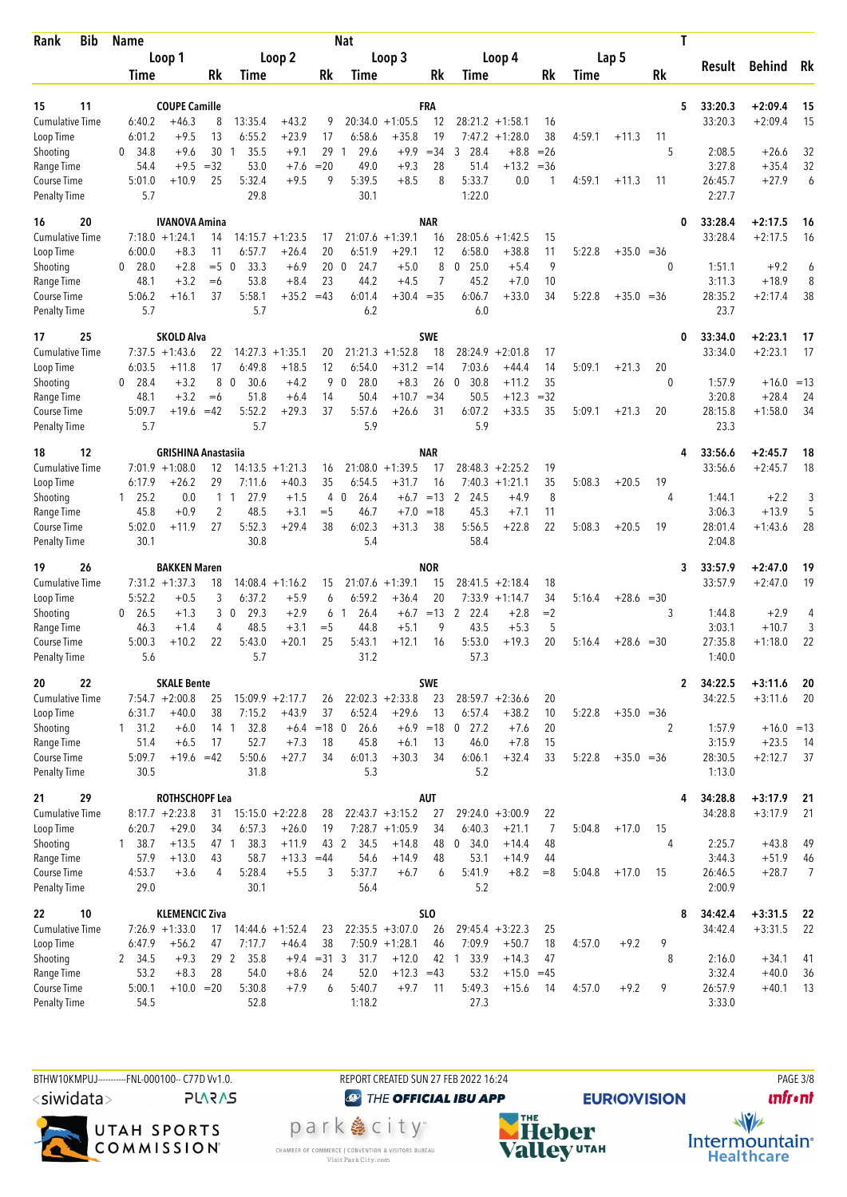| <b>Bib</b><br>Rank                 | <b>Name</b>    |                                         |         |                        |                        |                 | Nat                  |                    |                  |                |                    |            |        |              | Τ     |                         |                        |          |
|------------------------------------|----------------|-----------------------------------------|---------|------------------------|------------------------|-----------------|----------------------|--------------------|------------------|----------------|--------------------|------------|--------|--------------|-------|-------------------------|------------------------|----------|
|                                    |                | Loop 1                                  |         |                        | Loop 2                 |                 |                      | Loop 3             |                  |                | Loop 4             |            |        | Lap 5        |       | Result                  | Behind                 | Rk       |
|                                    | Time           |                                         | Rk      | Time                   |                        | Rk              | Time                 |                    | Rk               | Time           |                    | Rk         | Time   |              | Rk    |                         |                        |          |
|                                    |                |                                         |         |                        |                        |                 |                      |                    |                  |                |                    |            |        |              |       |                         |                        |          |
| 11<br>15<br><b>Cumulative Time</b> | 6:40.2         | <b>COUPE Camille</b><br>$+46.3$         | 8       | 13:35.4                | $+43.2$                |                 | 20:34.0              | $+1:05.5$          | FRA<br>12        |                | $28:21.2 +1:58.1$  | 16         |        |              | 5     | 33:20.3<br>33:20.3      | $+2:09.4$<br>$+2:09.4$ | 15<br>15 |
| Loop Time                          | 6:01.2         | $+9.5$                                  | 13      | 6:55.2                 | $+23.9$                | 9<br>17         | 6:58.6               | $+35.8$            | 19               |                | $7:47.2 +1:28.0$   | 38         | 4:59.1 | $+11.3$      | 11    |                         |                        |          |
| Shooting                           | 34.8<br>0      | $+9.6$                                  | 30      | 35.5<br>-1             | $+9.1$                 | 29              | 29.6                 | $+9.9$             | $= 34$           | 28.4<br>3      | $+8.8$             | $=26$      |        |              | 5     | 2:08.5                  | $+26.6$                | 32       |
| Range Time                         | 54.4           | $+9.5$                                  | $=32$   | 53.0                   | $+7.6$                 | $= 20$          | 49.0                 | $+9.3$             | 28               | 51.4           | $+13.2$            | $=$ 36     |        |              |       | 3:27.8                  | $+35.4$                | 32       |
| Course Time                        | 5:01.0         | $+10.9$                                 | 25      | 5:32.4                 | $+9.5$                 | 9               | 5:39.5               | $+8.5$             | 8                | 5:33.7         | 0.0                | -1         | 4:59.1 | $+11.3$      | 11    | 26:45.7                 | $+27.9$                | 6        |
| <b>Penalty Time</b>                | 5.7            |                                         |         | 29.8                   |                        |                 | 30.1                 |                    |                  | 1:22.0         |                    |            |        |              |       | 2:27.7                  |                        |          |
| 16<br>20                           |                | <b>IVANOVA Amina</b>                    |         |                        |                        |                 |                      |                    | <b>NAR</b>       |                |                    |            |        |              | 0     | 33:28.4                 | $+2:17.5$              | 16       |
| <b>Cumulative Time</b>             |                | $7:18.0 + 1:24.1$                       | 14      |                        | $14:15.7 + 1:23.5$     | 17              |                      | $21:07.6 + 1:39.1$ | 16               | 28:05.6        | $+1:42.5$          | 15         |        |              |       | 33:28.4                 | $+2:17.5$              | 16       |
| Loop Time                          | 6:00.0         | $+8.3$                                  | 11      | 6:57.7                 | $+26.4$                | 20              | 6:51.9               | $+29.1$            | 12               | 6:58.0         | $+38.8$            | 11         | 5:22.8 | $+35.0 = 36$ |       |                         |                        |          |
| Shooting                           | 28.0<br>0      | $+2.8$                                  | $=$ 5   | 0<br>33.3              | $+6.9$                 | 20 <sub>0</sub> | 24.7                 | $+5.0$             | 8                | 25.0<br>0      | $+5.4$             | 9          |        |              | 0     | 1:51.1                  | $+9.2$                 | 6        |
| Range Time                         | 48.1           | $+3.2$                                  | $=6$    | 53.8                   | $+8.4$                 | 23              | 44.2                 | $+4.5$             | $\overline{7}$   | 45.2           | $+7.0$             | 10         |        |              |       | 3:11.3                  | $+18.9$                | 8        |
| Course Time                        | 5:06.2         | $+16.1$                                 | 37      | 5:58.1                 | $+35.2 = 43$           |                 | 6:01.4               | $+30.4 = 35$       |                  | 6:06.7         | $+33.0$            | 34         | 5:22.8 | $+35.0 = 36$ |       | 28:35.2                 | $+2:17.4$              | 38       |
| <b>Penalty Time</b>                | 5.7            |                                         |         | 5.7                    |                        |                 | 6.2                  |                    |                  | 6.0            |                    |            |        |              |       | 23.7                    |                        |          |
| 25<br>17                           |                | <b>SKOLD Alva</b>                       |         |                        |                        |                 |                      |                    | <b>SWE</b>       |                |                    |            |        |              | 0     | 33:34.0                 | $+2:23.1$              | 17       |
| <b>Cumulative Time</b>             |                | $7:37.5 +1:43.6$                        | 22      | 14:27.3                | $+1:35.1$              | 20              | 21:21.3              | $+1:52.8$          | 18               | 28:24.9        | $+2:01.8$          | 17         |        |              |       | 33:34.0                 | $+2:23.1$              | 17       |
| Loop Time                          | 6:03.5         | $+11.8$                                 | 17      | 6:49.8                 | $+18.5$                | 12              | 6:54.0               | $+31.2$            | $=14$            | 7:03.6         | $+44.4$            | 14         | 5:09.1 | $+21.3$      | 20    |                         |                        |          |
| Shooting                           | 28.4<br>0      | $+3.2$                                  | 8       | $\mathbf 0$<br>30.6    | $+4.2$                 | 9               | 28.0<br>$\mathbf 0$  | $+8.3$             | 26               | 30.8<br>0      | $+11.2$            | 35         |        |              | 0     | 1:57.9                  | $+16.0 = 13$           |          |
| Range Time                         | 48.1           | $+3.2$                                  | $=6$    | 51.8                   | $+6.4$                 | 14              | 50.4                 | $+10.7$            | $=34$            | 50.5           | $+12.3$            | $=32$      |        |              |       | 3:20.8                  | $+28.4$                | 24       |
| Course Time                        | 5:09.7         | +19.6                                   | $=42$   | 5:52.2                 | $+29.3$                | 37              | 5:57.6               | $+26.6$            | 31               | 6:07.2         | $+33.5$            | 35         | 5:09.1 | $+21.3$      | 20    | 28:15.8                 | $+1:58.0$              | 34       |
| <b>Penalty Time</b>                | 5.7            |                                         |         | 5.7                    |                        |                 | 5.9                  |                    |                  | 5.9            |                    |            |        |              |       | 23.3                    |                        |          |
| 12<br>18                           |                | <b>GRISHINA Anastasiia</b>              |         |                        |                        |                 |                      |                    | <b>NAR</b>       |                |                    |            |        |              | 4     | 33:56.6                 | $+2:45.7$              | 18       |
| <b>Cumulative Time</b>             |                | $7:01.9 +1:08.0$                        | 12      |                        | $14:13.5 + 1:21.3$     | 16              |                      | $21:08.0 + 1:39.5$ | 17               |                | $28:48.3 + 2:25.2$ | 19         |        |              |       | 33:56.6                 | $+2:45.7$              | 18       |
| Loop Time                          | 6:17.9         | $+26.2$                                 | 29      | 7:11.6                 | $+40.3$                | 35              | 6:54.5               | $+31.7$            | 16               |                | $7:40.3 +1:21.1$   | 35         | 5:08.3 | $+20.5$      | 19    |                         |                        |          |
| Shooting                           | 125.2          | 0.0                                     |         | 1 <sub>1</sub><br>27.9 | $+1.5$                 | 4               | $\mathbf{0}$<br>26.4 | $+6.7$             | $=13$            | 2<br>24.5      | +4.9               | 8          |        |              | 4     | 1:44.1                  | $+2.2$                 | 3        |
| Range Time<br>Course Time          | 45.8<br>5:02.0 | $+0.9$<br>$+11.9$                       | 2<br>27 | 48.5<br>5:52.3         | $+3.1$<br>$+29.4$      | $=$ 5<br>38     | 46.7<br>6:02.3       | $+7.0$<br>$+31.3$  | $=18$<br>38      | 45.3<br>5:56.5 | $+7.1$<br>$+22.8$  | 11<br>22   | 5:08.3 | $+20.5$      | 19    | 3:06.3<br>28:01.4       | $+13.9$<br>$+1:43.6$   | 5<br>28  |
| <b>Penalty Time</b>                | 30.1           |                                         |         | 30.8                   |                        |                 | 5.4                  |                    |                  | 58.4           |                    |            |        |              |       | 2:04.8                  |                        |          |
|                                    |                |                                         |         |                        |                        |                 |                      |                    |                  |                |                    |            |        |              |       |                         |                        |          |
| 26<br>19<br><b>Cumulative Time</b> |                | <b>BAKKEN Maren</b><br>$7:31.2 +1:37.3$ | 18      |                        | $14:08.4 +1:16.2$      | 15              |                      | $21:07.6 + 1:39.1$ | <b>NOR</b><br>15 | 28:41.5        | $+2:18.4$          | 18         |        |              | 3     | 33:57.9<br>33:57.9      | $+2:47.0$<br>$+2:47.0$ | 19<br>19 |
| Loop Time                          | 5:52.2         | $+0.5$                                  | 3       | 6:37.2                 | $+5.9$                 | 6               | 6:59.2               | $+36.4$            | 20               |                | $7:33.9 +1:14.7$   | 34         | 5:16.4 | $+28.6 = 30$ |       |                         |                        |          |
| Shooting                           | 26.5<br>0      | $+1.3$                                  | 3       | 29.3<br>$\mathbf 0$    | $+2.9$                 | 6               | 26.4<br>-1           |                    | $+6.7 = 13$      | 2<br>22.4      | $+2.8$             | $=2$       |        |              | 3     | 1:44.8                  | $+2.9$                 | 4        |
| Range Time                         | 46.3           | $+1.4$                                  | 4       | 48.5                   | $+3.1$                 | $=$ 5           | 44.8                 | $+5.1$             | 9                | 43.5           | $+5.3$             | 5          |        |              |       | 3:03.1                  | $+10.7$                | 3        |
| <b>Course Time</b>                 | 5:00.3         | $+10.2$                                 | 22      | 5:43.0                 | $+20.1$                | 25              | 5:43.1               | $+12.1$            | 16               | 5:53.0         | $+19.3$            | 20         | 5:16.4 | $+28.6$      | $=30$ | 27:35.8                 | $+1:18.0$              | 22       |
| <b>Penalty Time</b>                | 5.6            |                                         |         | 5.7                    |                        |                 | 31.2                 |                    |                  | 57.3           |                    |            |        |              |       | 1:40.0                  |                        |          |
| 22<br>20                           |                | <b>SKALE Bente</b>                      |         |                        |                        |                 |                      |                    | <b>SWE</b>       |                |                    |            |        |              |       | 34:22.5<br>$\mathbf{2}$ | $+3:11.6$              | 20       |
| Cumulative Time                    |                | $7:54.7 +2:00.8$                        | 25      |                        | $15:09.9 + 2:17.7$     | 26              |                      | $22:02.3 +2:33.8$  | 23               |                | $28:59.7 + 2:36.6$ | 20         |        |              |       | 34:22.5                 | $+3:11.6$              | 20       |
| Loop Time                          | 6:31.7         | $+40.0$                                 | 38      | 7:15.2                 | $+43.9$                | 37              | 6:52.4               | $+29.6$            | 13               | 6:57.4         | $+38.2$            | 10         | 5:22.8 | $+35.0 = 36$ |       |                         |                        |          |
| Shooting                           | $1 \quad 31.2$ | $+6.0$                                  |         | 32.8<br>14 1           |                        | $+6.4 = 18$ 0   | 26.6                 |                    | $+6.9 = 18$      | $0$ 27.2       | $+7.6$             | 20         |        |              | 2     | 1:57.9                  | $+16.0 = 13$           |          |
| Range Time                         | 51.4           | $+6.5$                                  | 17      | 52.7                   | $+7.3$                 | 18              | 45.8                 | $+6.1$             | 13               | 46.0           | $+7.8$             | 15         |        |              |       | 3:15.9                  | $+23.5$                | - 14     |
| Course Time                        | 5:09.7         | $+19.6 = 42$                            |         | 5:50.6                 | $+27.7$                | 34              | 6:01.3               | $+30.3$            | 34               | 6:06.1         | $+32.4$            | 33         | 5:22.8 | $+35.0 = 36$ |       | 28:30.5                 | $+2:12.7$              | 37       |
| <b>Penalty Time</b>                | 30.5           |                                         |         | 31.8                   |                        |                 | 5.3                  |                    |                  | 5.2            |                    |            |        |              |       | 1:13.0                  |                        |          |
| 29<br>21                           |                | <b>ROTHSCHOPF Lea</b>                   |         |                        |                        |                 |                      |                    | <b>AUT</b>       |                |                    |            |        |              | 4     | 34:28.8                 | $+3:17.9$              | 21       |
| <b>Cumulative Time</b>             |                | $8:17.7 + 2:23.8$                       | 31      |                        | $15:15.0 + 2:22.8$     | 28              |                      | $22:43.7 + 3:15.2$ | 27               |                | $29:24.0 +3:00.9$  | 22         |        |              |       | 34:28.8                 | $+3:17.9$              | 21       |
| Loop Time                          | 6:20.7         | $+29.0$                                 | 34      | 6:57.3                 | $+26.0$                | 19              |                      | $7:28.7 +1:05.9$   | 34               | 6:40.3         | $+21.1$            | 7          | 5:04.8 | $+17.0$      | 15    |                         |                        |          |
| Shooting                           | 1, 38.7        | $+13.5$                                 | 47 1    | 38.3                   | $+11.9$                | 43 2            | 34.5                 | $+14.8$            | 48               | 0 34.0         | $+14.4$            | 48         |        |              | 4     | 2:25.7                  | $+43.8$                | 49       |
| Range Time<br>Course Time          | 57.9<br>4:53.7 | $+13.0$<br>$+3.6$                       | 43<br>4 | 58.7<br>5:28.4         | $+13.3 = 44$<br>$+5.5$ | 3               | 54.6<br>5:37.7       | $+14.9$<br>$+6.7$  | 48<br>6          | 53.1<br>5:41.9 | $+14.9$<br>$+8.2$  | 44<br>$=8$ | 5:04.8 | $+17.0$      | 15    | 3:44.3<br>26:46.5       | $+51.9$<br>$+28.7$     | 46<br>7  |
| <b>Penalty Time</b>                | 29.0           |                                         |         | 30.1                   |                        |                 | 56.4                 |                    |                  | 5.2            |                    |            |        |              |       | 2:00.9                  |                        |          |
| 10<br>22                           |                | <b>KLEMENCIC Ziva</b>                   |         |                        |                        |                 |                      |                    | <b>SLO</b>       |                |                    |            |        |              | 8     | 34:42.4                 | $+3:31.5$              | - 22     |
| <b>Cumulative Time</b>             |                | $7:26.9$ +1:33.0                        | 17      |                        | $14:44.6 + 1:52.4$     | 23              |                      | $22:35.5 + 3:07.0$ | 26               |                | $29:45.4 + 3:22.3$ | 25         |        |              |       | 34:42.4                 | $+3:31.5$              | 22       |
| Loop Time                          | 6:47.9         | $+56.2$                                 | 47      | 7:17.7                 | $+46.4$                | 38              |                      | $7:50.9$ +1:28.1   | 46               | 7:09.9         | $+50.7$            | 18         | 4:57.0 | $+9.2$       | 9     |                         |                        |          |
| Shooting                           | 2 34.5         | $+9.3$                                  |         | 29 2<br>35.8           |                        | $+9.4 = 31.3$   | 31.7                 | $+12.0$            |                  | 42 1 33.9      | $+14.3$            | 47         |        |              | 8     | 2:16.0                  | $+34.1$                | 41       |
| Range Time                         | 53.2           | $+8.3$                                  | 28      | 54.0                   | $+8.6$                 | 24              | 52.0                 | $+12.3 = 43$       |                  | 53.2           | $+15.0$            | $=45$      |        |              |       | 3:32.4                  | $+40.0$                | 36       |
| Course Time                        | 5:00.1         | $+10.0 = 20$                            |         | 5:30.8                 | $+7.9$                 | 6               | 5:40.7               | $+9.7$             | 11               | 5:49.3         | $+15.6$            | 14         | 4:57.0 | $+9.2$       | 9     | 26:57.9                 | $+40.1$                | 13       |
| <b>Penalty Time</b>                | 54.5           |                                         |         | 52.8                   |                        |                 | 1:18.2               |                    |                  | 27.3           |                    |            |        |              |       | 3:33.0                  |                        |          |
|                                    |                |                                         |         |                        |                        |                 |                      |                    |                  |                |                    |            |        |              |       |                         |                        |          |

BTHW10KMPUJ-----------FNL-000100-- C77D Vv1.0. <siwidata>

**PLARAS** 



REPORT CREATED SUN 27 FEB 2022 16:24 **@** THE OFFICIAL IBU APP

park e city<sup>®</sup> CHAMBER OF COMMERCE | CONVENTION & VISITORS BUREAU<br>Visit Park City.com





 $\frac{1}{\sqrt{2}}$ Intermountain<sup>®</sup><br>Healthcare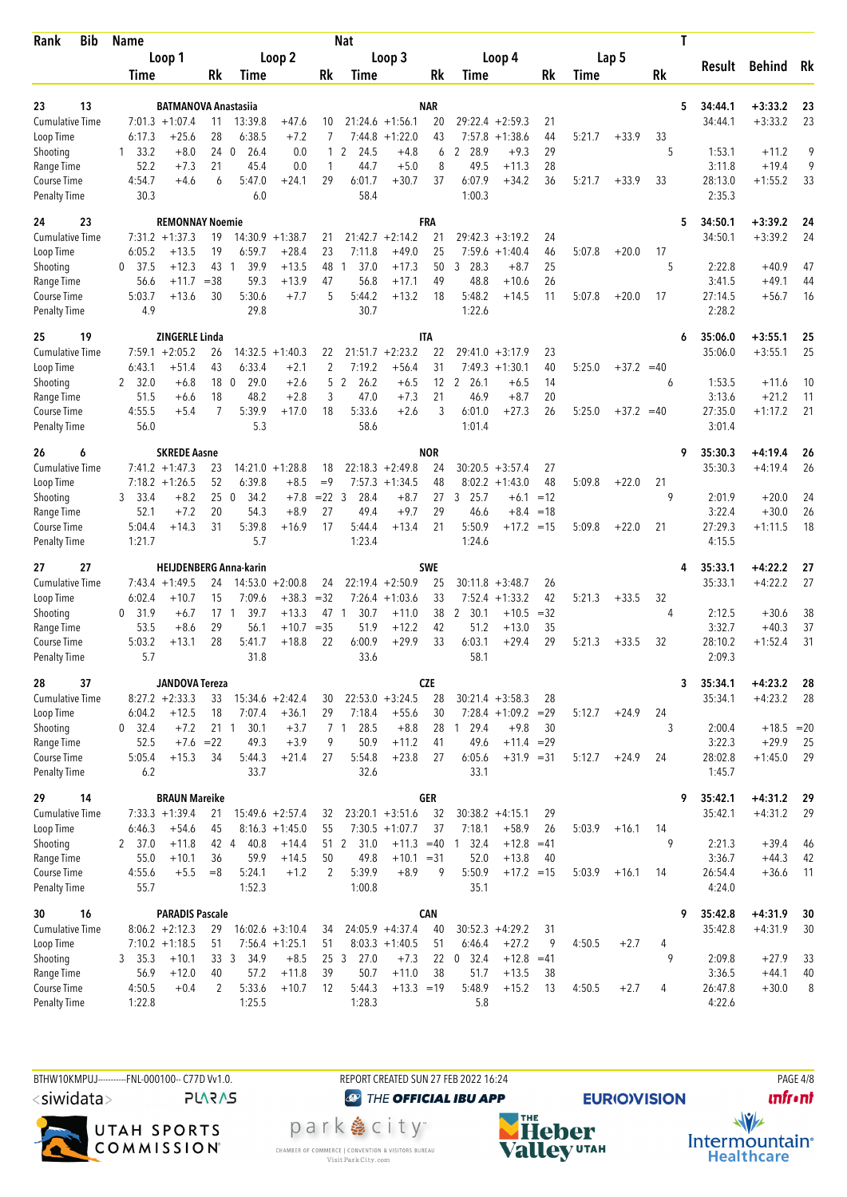| <b>Bib</b><br>Rank                        | <b>Name</b>          |                             |                 |                               |                    |                | <b>Nat</b>              |                    |                  |                      |                    |       |        |              |    | T                       |                        |          |
|-------------------------------------------|----------------------|-----------------------------|-----------------|-------------------------------|--------------------|----------------|-------------------------|--------------------|------------------|----------------------|--------------------|-------|--------|--------------|----|-------------------------|------------------------|----------|
|                                           |                      | Loop 1                      |                 |                               | Loop 2             |                |                         | Loop 3             |                  |                      | Loop 4             |       |        | Lap 5        |    |                         |                        |          |
|                                           | Time                 |                             | Rk              | Time                          |                    | Rk             | Time                    |                    | Rk               | Time                 |                    | Rk    | Time   |              | Rk | Result                  | Behind                 | Rk       |
|                                           |                      |                             |                 |                               |                    |                |                         |                    |                  |                      |                    |       |        |              |    |                         |                        |          |
| 13<br>23<br><b>Cumulative Time</b>        | $7:01.3 +1:07.4$     | <b>BATMANOVA Anastasiia</b> | 11              | 13:39.8                       | $+47.6$            | 10             |                         | $21:24.6 + 1:56.1$ | <b>NAR</b><br>20 | 29:22.4              | $+2:59.3$          | 21    |        |              |    | 5<br>34:44.1<br>34:44.1 | $+3:33.2$<br>$+3:33.2$ | 23<br>23 |
| Loop Time                                 | 6:17.3               | $+25.6$                     | 28              | 6:38.5                        | $+7.2$             | 7              | 7:44.8                  | $+1:22.0$          | 43               | 7:57.8               | $+1:38.6$          | 44    | 5:21.7 | $+33.9$      | 33 |                         |                        |          |
| Shooting                                  | 33.2<br>$\mathbf{1}$ | $+8.0$                      | 240             | 26.4                          | 0.0                | $\mathbf{1}$   | 2<br>24.5               | $+4.8$             | 6                | 2 28.9               | $+9.3$             | 29    |        |              | 5  | 1:53.1                  | $+11.2$                | 9        |
| Range Time                                | 52.2                 | $+7.3$                      | 21              | 45.4                          | 0.0                | 1              | 44.7                    | $+5.0$             | 8                | 49.5                 | $+11.3$            | 28    |        |              |    | 3:11.8                  | $+19.4$                | 9        |
| Course Time                               | 4:54.7               | $+4.6$                      | 6               | 5:47.0                        | $+24.1$            | 29             | 6:01.7                  | $+30.7$            | 37               | 6:07.9               | $+34.2$            | 36    | 5:21.7 | $+33.9$      | 33 | 28:13.0                 | $+1:55.2$              | 33       |
| <b>Penalty Time</b>                       | 30.3                 |                             |                 | 6.0                           |                    |                | 58.4                    |                    |                  | 1:00.3               |                    |       |        |              |    | 2:35.3                  |                        |          |
| 24<br>23                                  |                      | <b>REMONNAY Noemie</b>      |                 |                               |                    |                |                         |                    | FRA              |                      |                    |       |        |              |    | 34:50.1<br>5            | $+3:39.2$              | 24       |
| <b>Cumulative Time</b>                    | $7:31.2 +1:37.3$     |                             | 19              | 14:30.9                       | $+1:38.7$          | 21             |                         | $21:42.7 + 2:14.2$ | 21               |                      | $29:42.3 + 3:19.2$ | 24    |        |              |    | 34:50.1                 | $+3:39.2$              | 24       |
| Loop Time                                 | 6:05.2               | $+13.5$                     | 19              | 6:59.7                        | $+28.4$            | 23             | 7:11.8                  | $+49.0$            | 25               | 7:59.6               | $+1:40.4$          | 46    | 5:07.8 | $+20.0$      | 17 |                         |                        |          |
| Shooting                                  | 37.5<br>0            | $+12.3$                     | 43              | 39.9<br>-1                    | $+13.5$            | 48             | 37.0<br>1               | $+17.3$            | 50               | 3<br>28.3            | $+8.7$             | 25    |        |              | 5  | 2:22.8                  | $+40.9$                | 47       |
| Range Time                                | 56.6                 | $+11.7$                     | $= 38$          | 59.3                          | $+13.9$            | 47             | 56.8                    | $+17.1$            | 49               | 48.8                 | $+10.6$            | 26    |        |              |    | 3:41.5                  | $+49.1$                | 44       |
| Course Time                               | 5:03.7               | $+13.6$                     | 30              | 5:30.6                        | $+7.7$             | 5              | 5:44.2                  | $+13.2$            | 18               | 5:48.2               | $+14.5$            | 11    | 5:07.8 | $+20.0$      | 17 | 27:14.5                 | $+56.7$                | 16       |
| <b>Penalty Time</b>                       | 4.9                  |                             |                 | 29.8                          |                    |                | 30.7                    |                    |                  | 1:22.6               |                    |       |        |              |    | 2:28.2                  |                        |          |
| 19<br>25                                  |                      | <b>ZINGERLE Linda</b>       |                 |                               |                    |                |                         |                    | <b>ITA</b>       |                      |                    |       |        |              |    | 35:06.0<br>6            | $+3:55.1$              | 25       |
| <b>Cumulative Time</b>                    | 7:59.1               | $+2:05.2$                   | 26              | 14:32.5                       | $+1:40.3$          | 22             |                         | $21:51.7 + 2:23.2$ | 22               | 29:41.0              | $+3:17.9$          | 23    |        |              |    | 35:06.0                 | $+3:55.1$              | 25       |
| Loop Time                                 | 6:43.1               | $+51.4$                     | 43              | 6:33.4                        | $+2.1$             | 2              | 7:19.2                  | $+56.4$            | 31               |                      | $7:49.3 +1:30.1$   | 40    | 5:25.0 | $+37.2 = 40$ |    |                         |                        |          |
| Shooting                                  | 32.0<br>2            | $+6.8$                      | 18              | 29.0<br>$\overline{0}$        | $+2.6$             | 5              | $\overline{2}$<br>26.2  | $+6.5$             | 12               | 26.1<br>2            | $+6.5$             | 14    |        |              | 6  | 1:53.5                  | $+11.6$                | 10       |
| Range Time                                | 51.5                 | +6.6                        | 18              | 48.2                          | $+2.8$             | 3              | 47.0                    | $+7.3$             | 21               | 46.9                 | $+8.7$             | 20    |        |              |    | 3:13.6                  | $+21.2$                | 11       |
| Course Time<br><b>Penalty Time</b>        | 4:55.5<br>56.0       | $+5.4$                      | 7               | 5:39.9<br>5.3                 | $+17.0$            | 18             | 5:33.6<br>58.6          | $+2.6$             | 3                | 6:01.0<br>1:01.4     | $+27.3$            | 26    | 5:25.0 | $+37.2 = 40$ |    | 27:35.0<br>3:01.4       | $+1:17.2$              | 21       |
|                                           |                      |                             |                 |                               |                    |                |                         |                    |                  |                      |                    |       |        |              |    |                         |                        |          |
| 26<br>6<br><b>Cumulative Time</b>         | $7:41.2 + 1:47.3$    | <b>SKREDE Aasne</b>         | 23              |                               | $14:21.0 + 1:28.8$ | 18             |                         | $22:18.3 + 2:49.8$ | <b>NOR</b><br>24 |                      | $30:20.5 + 3:57.4$ | 27    |        |              |    | 35:30.3<br>9<br>35:30.3 | $+4:19.4$<br>$+4:19.4$ | 26<br>26 |
| Loop Time                                 | $7:18.2 + 1:26.5$    |                             | 52              | 6:39.8                        | $+8.5$             | $=9$           | 7:57.3                  | $+1:34.5$          | 48               |                      | $8:02.2 +1:43.0$   | 48    | 5:09.8 | $+22.0$      | 21 |                         |                        |          |
| Shooting                                  | 3 33.4               | $+8.2$                      | 25              | $\boldsymbol{0}$<br>34.2      | $+7.8$             | $= 22 \quad 3$ | 28.4                    | $+8.7$             | 27               | 25.7<br>3            | $+6.1$             | $=12$ |        |              | 9  | 2:01.9                  | $+20.0$                | 24       |
| Range Time                                | 52.1                 | $+7.2$                      | 20              | 54.3                          | $+8.9$             | 27             | 49.4                    | $+9.7$             | 29               | 46.6                 | $+8.4$             | $=18$ |        |              |    | 3:22.4                  | $+30.0$                | 26       |
| Course Time                               | 5:04.4               | $+14.3$                     | 31              | 5:39.8                        | $+16.9$            | 17             | 5:44.4                  | $+13.4$            | 21               | 5:50.9               | $+17.2$            | $=15$ | 5:09.8 | $+22.0$      | 21 | 27:29.3                 | $+1:11.5$              | 18       |
| <b>Penalty Time</b>                       | 1:21.7               |                             |                 | 5.7                           |                    |                | 1:23.4                  |                    |                  | 1:24.6               |                    |       |        |              |    | 4:15.5                  |                        |          |
| 27<br>27                                  |                      |                             |                 | <b>HEIJDENBERG Anna-karin</b> |                    |                |                         |                    | <b>SWE</b>       |                      |                    |       |        |              |    | 35:33.1<br>4            | $+4:22.2$              | 27       |
| <b>Cumulative Time</b>                    | $7:43.4 +1:49.5$     |                             | 24              | 14:53.0                       | $+2:00.8$          | 24             |                         | $22:19.4 + 2:50.9$ | 25               | 30:11.8              | $+3:48.7$          | 26    |        |              |    | 35:33.1                 | $+4:22.2$              | 27       |
| Loop Time                                 | 6:02.4               | $+10.7$                     | 15              | 7:09.6                        | $+38.3$            | $=32$          |                         | $7:26.4 +1:03.6$   | 33               |                      | $7:52.4 +1:33.2$   | 42    | 5:21.3 | $+33.5$      | 32 |                         |                        |          |
| Shooting                                  | 31.9<br>0            | +6.7                        | $17-1$          | 39.7                          | $+13.3$            | 47 1           | 30.7                    | $+11.0$            | 38               | $\mathbf{2}$<br>30.1 | $+10.5$            | $=32$ |        |              | 4  | 2:12.5                  | $+30.6$                | 38       |
| Range Time                                | 53.5                 | $+8.6$                      | 29              | 56.1                          | $+10.7$            | $=35$          | 51.9                    | $+12.2$            | 42               | 51.2                 | $+13.0$            | 35    |        |              |    | 3:32.7                  | $+40.3$                | 37       |
| <b>Course Time</b><br><b>Penalty Time</b> | 5:03.2<br>5.7        | $+13.1$                     | 28              | 5:41.7<br>31.8                | $+18.8$            | 22             | 6:00.9<br>33.6          | $+29.9$            | 33               | 6:03.1<br>58.1       | $+29.4$            | 29    | 5:21.3 | $+33.5$      | 32 | 28:10.2<br>2:09.3       | $+1:52.4$              | 31       |
|                                           |                      |                             |                 |                               |                    |                |                         |                    |                  |                      |                    |       |        |              |    |                         |                        |          |
| 37<br>28<br><b>Cumulative Time</b>        | $8:27.2 +2:33.3$     | <b>JANDOVA Tereza</b>       | 33              |                               | $15:34.6 + 2:42.4$ | 30             |                         | $22:53.0 + 3:24.5$ | <b>CZE</b><br>28 |                      | $30:21.4 + 3:58.3$ | 28    |        |              |    | 35:34.1<br>3<br>35:34.1 | $+4:23.2$<br>$+4:23.2$ | 28<br>28 |
| Loop Time                                 | 6:04.2               | $+12.5$                     | 18              | 7:07.4                        | $+36.1$            | 29             | 7:18.4                  | $+55.6$            | 30               |                      | $7:28.4$ +1:09.2   | $=29$ | 5:12.7 | $+24.9$      | 24 |                         |                        |          |
| Shooting                                  | $0$ 32.4             | $+7.2$                      | 21 <sub>1</sub> | 30.1                          | $+3.7$             |                | 7 <sub>1</sub><br>28.5  | $+8.8$             |                  | 28 1 29.4            | $+9.8$             | 30    |        |              | 3  | 2:00.4                  | $+18.5 = 20$           |          |
| Range Time                                | 52.5                 | $+7.6$                      | $=22$           | 49.3                          | $+3.9$             | 9              | 50.9                    | $+11.2$            | 41               | 49.6                 | $+11.4 = 29$       |       |        |              |    | 3:22.3                  | $+29.9$                | 25       |
| Course Time                               | 5:05.4               | $+15.3$                     | 34              | 5:44.3                        | $+21.4$            | 27             | 5:54.8                  | $+23.8$            | 27               | 6:05.6               | $+31.9 = 31$       |       | 5:12.7 | $+24.9$      | 24 | 28:02.8                 | $+1:45.0$              | 29       |
| <b>Penalty Time</b>                       | 6.2                  |                             |                 | 33.7                          |                    |                | 32.6                    |                    |                  | 33.1                 |                    |       |        |              |    | 1:45.7                  |                        |          |
| 14<br>29                                  |                      | <b>BRAUN Mareike</b>        |                 |                               |                    |                |                         |                    | <b>GER</b>       |                      |                    |       |        |              |    | 35:42.1<br>9            | $+4:31.2$              | 29       |
| <b>Cumulative Time</b>                    | $7:33.3 +1:39.4$     |                             | 21              |                               | $15:49.6 + 2:57.4$ | 32             |                         | $23:20.1 + 3:51.6$ | 32               |                      | $30:38.2 +4:15.1$  | 29    |        |              |    | 35:42.1                 | $+4:31.2$              | 29       |
| Loop Time                                 | 6:46.3               | $+54.6$                     | 45              |                               | $8:16.3 +1:45.0$   | 55             |                         | $7:30.5 +1:07.7$   | 37               | 7:18.1               | $+58.9$            | 26    | 5:03.9 | $+16.1$      | 14 |                         |                        |          |
| Shooting                                  | 2 37.0               | $+11.8$                     | 42 4            | 40.8                          | $+14.4$            |                | 51 2<br>31.0            | $+11.3 = 40$       |                  | $1 \quad 32.4$       | $+12.8$            | $=41$ |        |              | 9  | 2:21.3                  | $+39.4$                | 46       |
| Range Time                                | 55.0                 | $+10.1$                     | 36              | 59.9                          | $+14.5$            | 50             | 49.8                    | $+10.1 = 31$       |                  | 52.0                 | $+13.8$            | 40    |        |              |    | 3:36.7                  | $+44.3$                | 42       |
| Course Time<br><b>Penalty Time</b>        | 4:55.6<br>55.7       | $+5.5$                      | $=8$            | 5:24.1<br>1:52.3              | $+1.2$             | 2              | 5:39.9<br>1:00.8        | $+8.9$             | 9                | 5:50.9<br>35.1       | $+17.2 = 15$       |       | 5:03.9 | $+16.1$      | 14 | 26:54.4<br>4:24.0       | $+36.6$                | 11       |
|                                           |                      |                             |                 |                               |                    |                |                         |                    |                  |                      |                    |       |        |              |    |                         |                        |          |
| 16<br>30<br><b>Cumulative Time</b>        | $8:06.2 +2:12.3$     | <b>PARADIS Pascale</b>      | 29              |                               | $16:02.6 + 3:10.4$ | 34             |                         | $24:05.9 +4:37.4$  | <b>CAN</b><br>40 |                      | $30:52.3 +4:29.2$  | 31    |        |              |    | 35:42.8<br>9<br>35:42.8 | $+4:31.9$<br>$+4:31.9$ | 30<br>30 |
| Loop Time                                 | $7:10.2 +1:18.5$     |                             | 51              |                               | $7:56.4 + 1:25.1$  | 51             |                         | $8:03.3 +1:40.5$   | 51               | 6:46.4               | $+27.2$            | 9     | 4:50.5 | $+2.7$       | 4  |                         |                        |          |
| Shooting                                  | 3, 35.3              | $+10.1$                     | 33 3            | 34.9                          | $+8.5$             |                | 25 <sub>3</sub><br>27.0 | $+7.3$             | 22               | $0$ 32.4             | $+12.8$            | $=41$ |        |              | 9  | 2:09.8                  | $+27.9$                | 33       |
| Range Time                                | 56.9                 | $+12.0$                     | 40              | 57.2                          | $+11.8$            | 39             | 50.7                    | $+11.0$            | 38               | 51.7                 | $+13.5$            | 38    |        |              |    | 3:36.5                  | $+44.1$                | 40       |
| Course Time                               | 4:50.5               | $+0.4$                      | 2               | 5:33.6                        | $+10.7$            | 12             | 5:44.3                  | $+13.3 = 19$       |                  | 5:48.9               | $+15.2$            | 13    | 4:50.5 | $+2.7$       | 4  | 26:47.8                 | $+30.0$                | 8        |
| <b>Penalty Time</b>                       | 1:22.8               |                             |                 | 1:25.5                        |                    |                | 1:28.3                  |                    |                  | 5.8                  |                    |       |        |              |    | 4:22.6                  |                        |          |
|                                           |                      |                             |                 |                               |                    |                |                         |                    |                  |                      |                    |       |        |              |    |                         |                        |          |

BTHW10KMPUJ----------FNL-000100-- C77D Vv1.0. REPORT CREATED SUN 27 FEB 2022 16:24 PAGE 4/8 <siwidata>

**PLARAS** 

UTAH SPORTS<br>COMMISSION

**@** THE OFFICIAL IBU APP

park e city<sup>®</sup>

CHAMBER OF COMMERCE | CONVENTION & VISITORS BUREAU<br>Visit Park City.com

**EURIO)VISION NE**<br>**Valley** UTAH

**unfront** 

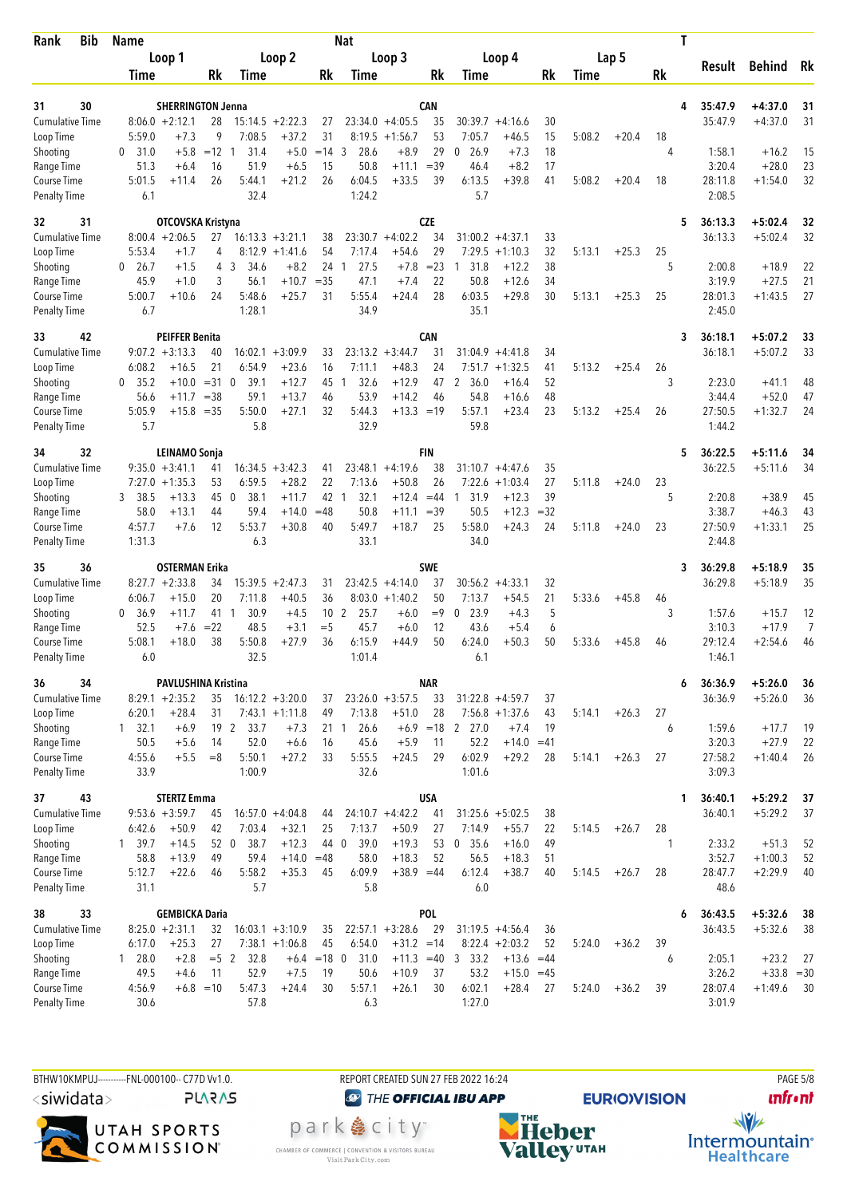| Rank                                | <b>Bib</b> | <b>Name</b>                |                          |              |                   |                      |                 | Nat                  |                                       |             |                            |                        |                |        |         |    | Τ |                    |                         |          |
|-------------------------------------|------------|----------------------------|--------------------------|--------------|-------------------|----------------------|-----------------|----------------------|---------------------------------------|-------------|----------------------------|------------------------|----------------|--------|---------|----|---|--------------------|-------------------------|----------|
|                                     |            | Loop 1                     |                          |              |                   | Loop 2               |                 |                      | Loop 3                                |             | Loop 4                     |                        |                |        | Lap 5   |    |   |                    |                         |          |
|                                     |            | Time                       |                          | Rk           | Time              |                      | Rk              | Time                 |                                       | Rk          | Time                       |                        | Rk             | Time   |         | Rk |   | Result             | <b>Behind</b>           | Rk       |
|                                     |            |                            |                          |              |                   |                      |                 |                      |                                       |             |                            |                        |                |        |         |    |   |                    |                         |          |
| 31<br><b>Cumulative Time</b>        | 30         | $8:06.0 + 2:12.1$          | <b>SHERRINGTON Jenna</b> | 28           |                   | $15:14.5 + 2:22.3$   |                 |                      | $23:34.0 +4:05.5$                     | CAN<br>35   | $30:39.7 + 4:16.6$         |                        |                |        |         |    | 4 | 35:47.9<br>35:47.9 | $+4:37.0$<br>$+4:37.0$  | 31<br>31 |
| Loop Time                           |            | 5:59.0                     | $+7.3$                   | 9            | 7:08.5            | $+37.2$              | 27<br>31        | 8:19.5               | $+1:56.7$                             | 53          | 7:05.7                     | $+46.5$                | 30<br>15       | 5:08.2 | $+20.4$ | 18 |   |                    |                         |          |
| Shooting                            |            | 31.0<br>0                  | $+5.8$                   | $=12$ 1      | 31.4              | $+5.0$               | $= 14$ 3        | 28.6                 | $+8.9$                                | 29          | 0, 26.9                    | $+7.3$                 | 18             |        |         | 4  |   | 1:58.1             | $+16.2$                 | 15       |
| Range Time                          |            | 51.3                       | $+6.4$                   | 16           | 51.9              | $+6.5$               | 15              | 50.8                 | $+11.1$                               | $=39$       | 46.4                       | $+8.2$                 | 17             |        |         |    |   | 3:20.4             | $+28.0$                 | 23       |
| Course Time                         |            | 5:01.5                     | $+11.4$                  | 26           | 5:44.1            | $+21.2$              | 26              | 6:04.5               | $+33.5$                               | 39          | 6:13.5                     | $+39.8$                | 41             | 5:08.2 | $+20.4$ | 18 |   | 28:11.8            | $+1:54.0$               | 32       |
| <b>Penalty Time</b>                 |            | 6.1                        |                          |              | 32.4              |                      |                 | 1:24.2               |                                       |             | 5.7                        |                        |                |        |         |    |   | 2:08.5             |                         |          |
| 32                                  | 31         |                            | OTCOVSKA Kristyna        |              |                   |                      |                 |                      |                                       | <b>CZE</b>  |                            |                        |                |        |         |    | 5 | 36:13.3            | $+5:02.4$               | 32       |
| Cumulative Time                     |            | $8:00.4 +2:06.5$           |                          | 27           |                   | $16:13.3 + 3:21.1$   | 38              |                      | $23:30.7 +4:02.2$                     | 34          | $31:00.2 +4:37.1$          |                        | 33             |        |         |    |   | 36:13.3            | $+5:02.4$               | 32       |
| Loop Time                           |            | 5:53.4                     | $+1.7$                   | 4            |                   | $8:12.9 +1:41.6$     | 54              | 7:17.4               | $+54.6$                               | 29          | 7:29.5                     | $+1:10.3$              | 32             | 5:13.1 | $+25.3$ | 25 |   |                    |                         |          |
| Shooting                            |            | 26.7<br>0                  | $+1.5$                   | 4            | 3<br>34.6         | $+8.2$               | 24              | 27.5<br>1            | $+7.8$                                | $= 23$      | 31.8<br>-1                 | $+12.2$                | 38             |        |         | 5  |   | 2:00.8             | $+18.9$                 | 22       |
| Range Time                          |            | 45.9                       | $+1.0$                   | 3<br>24      | 56.1<br>5:48.6    | $+10.7$              | $=35$           | 47.1                 | $+7.4$                                | 22<br>28    | 50.8<br>6:03.5             | $+12.6$                | 34<br>30       |        |         |    |   | 3:19.9             | $+27.5$                 | 21<br>27 |
| Course Time<br><b>Penalty Time</b>  |            | 5:00.7<br>6.7              | $+10.6$                  |              | 1:28.1            | $+25.7$              | 31              | 5:55.4<br>34.9       | $+24.4$                               |             | 35.1                       | $+29.8$                |                | 5:13.1 | $+25.3$ | 25 |   | 28:01.3<br>2:45.0  | $+1:43.5$               |          |
|                                     |            |                            |                          |              |                   |                      |                 |                      |                                       |             |                            |                        |                |        |         |    |   |                    |                         |          |
| 33                                  | 42         |                            | PEIFFER Benita           |              |                   |                      |                 |                      |                                       | CAN         |                            |                        |                |        |         |    | 3 | 36:18.1            | $+5:07.2$               | 33       |
| <b>Cumulative Time</b><br>Loop Time |            | $9:07.2 +3:13.3$<br>6:08.2 | $+16.5$                  | 40<br>21     | 16:02.1<br>6:54.9 | $+3:09.9$<br>$+23.6$ | 33<br>16        | 7:11.1               | $23:13.2 + 3:44.7$<br>$+48.3$         | 31<br>24    | 31:04.9<br>7:51.7          | $+4:41.8$<br>$+1:32.5$ | 34<br>41       | 5:13.2 | $+25.4$ | 26 |   | 36:18.1            | $+5:07.2$               | 33       |
| Shooting                            |            | 0, 35.2                    | $+10.0$                  | $=31$ 0      | 39.1              | $+12.7$              | 45              | 32.6<br>-1           | $+12.9$                               | 47          | 2 36.0                     | $+16.4$                | 52             |        |         | 3  |   | 2:23.0             | $+41.1$                 | 48       |
| Range Time                          |            | 56.6                       | $+11.7$                  | $=38$        | 59.1              | $+13.7$              | 46              | 53.9                 | $+14.2$                               | 46          | 54.8                       | $+16.6$                | 48             |        |         |    |   | 3:44.4             | $+52.0$                 | 47       |
| Course Time                         |            | 5:05.9                     | $+15.8$                  | $=35$        | 5:50.0            | $+27.1$              | 32              | 5:44.3               | $+13.3 = 19$                          |             | 5:57.1                     | $+23.4$                | 23             | 5:13.2 | $+25.4$ | 26 |   | 27:50.5            | $+1:32.7$               | 24       |
| <b>Penalty Time</b>                 |            | 5.7                        |                          |              | 5.8               |                      |                 | 32.9                 |                                       |             | 59.8                       |                        |                |        |         |    |   | 1:44.2             |                         |          |
| 34                                  | 32         |                            | <b>LEINAMO Sonja</b>     |              |                   |                      |                 |                      |                                       | FIN         |                            |                        |                |        |         |    | 5 | 36:22.5            | $+5:11.6$               | 34       |
| <b>Cumulative Time</b>              |            | $9:35.0 + 3:41.1$          |                          | 41           |                   | $16:34.5 + 3:42.3$   | 41              |                      | $23:48.1 + 4:19.6$                    | 38          | $31:10.7 + 4:47.6$         |                        | 35             |        |         |    |   | 36:22.5            | $+5:11.6$               | 34       |
| Loop Time                           |            | $7:27.0 +1:35.3$           |                          | 53           | 6:59.5            | $+28.2$              | 22              | 7:13.6               | $+50.8$                               | 26          | 7:22.6                     | $+1:03.4$              | 27             | 5:11.8 | $+24.0$ | 23 |   |                    |                         |          |
| Shooting                            |            | 38.5<br>3                  | $+13.3$                  | 45 0         | 38.1              | $+11.7$              | 42              | 32.1<br>-1           | $+12.4$                               | $=44$       | 31.9<br>$\overline{1}$     | $+12.3$                | 39             |        |         | 5  |   | 2:20.8             | $+38.9$                 | 45       |
| Range Time<br>Course Time           |            | 58.0<br>4:57.7             | $+13.1$<br>$+7.6$        | 44<br>12     | 59.4<br>5:53.7    | $+14.0$<br>$+30.8$   | $=48$<br>40     | 50.8<br>5:49.7       | $+11.1$<br>$+18.7$                    | $=39$<br>25 | 50.5<br>5:58.0             | $+12.3$<br>$+24.3$     | $=32$<br>24    | 5:11.8 | $+24.0$ | 23 |   | 3:38.7<br>27:50.9  | $+46.3$<br>$+1:33.1$    | 43<br>25 |
| <b>Penalty Time</b>                 |            | 1:31.3                     |                          |              | 6.3               |                      |                 | 33.1                 |                                       |             | 34.0                       |                        |                |        |         |    |   | 2:44.8             |                         |          |
|                                     |            |                            |                          |              |                   |                      |                 |                      |                                       |             |                            |                        |                |        |         |    |   |                    |                         |          |
| 35                                  | 36         | $8:27.7 + 2:33.8$          | <b>OSTERMAN Erika</b>    |              |                   |                      |                 |                      |                                       | <b>SWE</b>  |                            |                        |                |        |         |    | 3 | 36:29.8            | $+5:18.9$               | 35<br>35 |
| Cumulative Time<br>Loop Time        |            | 6:06.7                     | $+15.0$                  | 34<br>20     | 15:39.5<br>7:11.8 | $+2:47.3$<br>$+40.5$ | 31<br>36        |                      | $23:42.5 +4:14.0$<br>$8:03.0 +1:40.2$ | 37<br>50    | 30:56.2<br>7:13.7          | $+4:33.1$<br>$+54.5$   | 32<br>21       | 5:33.6 | $+45.8$ | 46 |   | 36:29.8            | $+5:18.9$               |          |
| Shooting                            |            | 36.9<br>0                  | $+11.7$                  | 41           | 30.9<br>-1        | $+4.5$               | 10 <sub>2</sub> | 25.7                 | $+6.0$                                | $=9$        | 23.9<br>0                  | $+4.3$                 | 5              |        |         | 3  |   | 1:57.6             | $+15.7$                 | 12       |
| Range Time                          |            | 52.5                       | $+7.6$                   | $= 22$       | 48.5              | $+3.1$               | $=$ 5           | 45.7                 | $+6.0$                                | 12          | 43.6                       | $+5.4$                 | 6              |        |         |    |   | 3:10.3             | $+17.9$                 | 7        |
| Course Time                         |            | 5:08.1                     | $+18.0$                  | 38           | 5:50.8            | $+27.9$              | 36              | 6:15.9               | $+44.9$                               | 50          | 6:24.0                     | $+50.3$                | 50             | 5:33.6 | $+45.8$ | 46 |   | 29:12.4            | $+2:54.6$               | 46       |
| <b>Penalty Time</b>                 |            | 6.0                        |                          |              | 32.5              |                      |                 | 1:01.4               |                                       |             | 6.1                        |                        |                |        |         |    |   | 1:46.1             |                         |          |
| 36                                  | 34         |                            | PAVLUSHINA Kristina      |              |                   |                      |                 |                      |                                       | <b>NAR</b>  |                            |                        |                |        |         |    | 6 | 36:36.9            | $+5:26.0$               | 36       |
| <b>Cumulative Time</b>              |            | $8:29.1 + 2:35.2$          |                          | 35           |                   | $16:12.2 + 3:20.0$   | 37              |                      | $23:26.0 + 3:57.5$                    | 33          | $31:22.8 + 4:59.7$         |                        | 37             |        |         |    |   | 36:36.9            | $+5:26.0$               | 36       |
| Loop Time                           |            | 6:20.1                     | $+28.4$                  | 31           |                   | $7:43.1 + 1:11.8$    | 49              | 7:13.8               | $+51.0$                               | 28          | $7:56.8 +1:37.6$           |                        | 43             | 5:14.1 | $+26.3$ | 27 |   |                    |                         |          |
| Shooting                            |            | $1 \quad 32.1$<br>50.5     | $+6.9$<br>$+5.6$         | 19 2<br>14   | 33.7<br>52.0      | $+7.3$               | 16              | 26.6<br>21 1<br>45.6 | $+5.9$                                |             | $+6.9$ = 18 2 27.0<br>52.2 | $+7.4$<br>$+14.0$      | 19             |        |         | 6  |   | 1:59.6<br>3:20.3   | $+17.7$<br>$+27.9$      | 19<br>22 |
| Range Time<br>Course Time           |            | 4:55.6                     | $+5.5$                   | $=8$         | 5:50.1            | $+6.6$<br>$+27.2$    | 33              | 5:55.5               | $+24.5$                               | 11<br>29    | 6:02.9                     | $+29.2$                | $=41$<br>28    | 5:14.1 | $+26.3$ | 27 |   | 27:58.2            | $+1:40.4$               | 26       |
| <b>Penalty Time</b>                 |            | 33.9                       |                          |              | 1:00.9            |                      |                 | 32.6                 |                                       |             | 1:01.6                     |                        |                |        |         |    |   | 3:09.3             |                         |          |
| 37                                  | 43         |                            | <b>STERTZ Emma</b>       |              |                   |                      |                 |                      |                                       | <b>USA</b>  |                            |                        |                |        |         |    | 1 | 36:40.1            | $+5:29.2$               | 37       |
| <b>Cumulative Time</b>              |            | $9:53.6 + 3:59.7$          |                          | 45           |                   | $16:57.0 +4:04.8$    | 44              |                      | $24:10.7 +4:42.2$                     | 41          | $31:25.6 + 5:02.5$         |                        | 38             |        |         |    |   | 36:40.1            | $+5:29.2$               | 37       |
| Loop Time                           |            | 6:42.6                     | $+50.9$                  | 42           | 7:03.4            | $+32.1$              | 25              | 7:13.7               | $+50.9$                               | 27          | 7:14.9                     | $+55.7$                | 22             | 5:14.5 | $+26.7$ | 28 |   |                    |                         |          |
| Shooting                            |            | 1, 39.7                    | $+14.5$                  | 52 0         | 38.7              | $+12.3$              | 44 0            | 39.0                 | $+19.3$                               | 53          | 35.6<br>0                  | $+16.0$                | 49             |        |         | 1  |   | 2:33.2             | $+51.3$                 | 52       |
| Range Time                          |            | 58.8                       | $+13.9$                  | 49           | 59.4              | $+14.0$              | $=48$           | 58.0                 | $+18.3$                               | 52          | 56.5                       | $+18.3$                | 51             |        |         |    |   | 3:52.7             | $+1:00.3$               | 52       |
| Course Time                         |            | 5:12.7                     | $+22.6$                  | 46           | 5:58.2            | $+35.3$              | 45              | 6:09.9               | $+38.9 = 44$                          |             | 6:12.4                     | $+38.7$                | 40             | 5:14.5 | $+26.7$ | 28 |   | 28:47.7            | $+2:29.9$               | 40       |
| <b>Penalty Time</b>                 |            | 31.1                       |                          |              | 5.7               |                      |                 | 5.8                  |                                       |             | 6.0                        |                        |                |        |         |    |   | 48.6               |                         |          |
| 38                                  | 33         |                            | <b>GEMBICKA Daria</b>    |              |                   |                      |                 |                      |                                       | POL         |                            |                        |                |        |         |    | 6 | 36:43.5            | $+5:32.6$               | 38       |
| <b>Cumulative Time</b>              |            | $8:25.0 + 2:31.1$          |                          | 32           |                   | $16:03.1 + 3:10.9$   | 35              |                      | $22:57.1 + 3:28.6$                    | 29          | $31:19.5 +4:56.4$          |                        | 36             |        |         |    |   | 36:43.5            | $+5:32.6$               | 38       |
| Loop Time                           |            | 6:17.0                     | $+25.3$                  | 27           |                   | $7:38.1 + 1:06.8$    | 45              | 6:54.0               | $+31.2 = 14$                          |             | $8:22.4 +2:03.2$           |                        | 52             | 5:24.0 | $+36.2$ | 39 |   |                    |                         |          |
| Shooting<br>Range Time              |            | 1 28.0<br>49.5             | $+2.8$<br>$+4.6$         | $=5$ 2<br>11 | 32.8<br>52.9      | $+6.4$<br>$+7.5$     | $=18$ 0<br>19   | 31.0<br>50.6         | $+10.9$                               | 37          | $+11.3$ =40 3 33.2<br>53.2 | $+13.6$<br>$+15.0$     | $=44$<br>$=45$ |        |         | 6  |   | 2:05.1<br>3:26.2   | $+23.2$<br>$+33.8 = 30$ | 27       |
| Course Time                         |            | 4:56.9                     | $+6.8 = 10$              |              | 5:47.3            | $+24.4$              | 30              | 5:57.1               | $+26.1$                               | 30          | 6:02.1                     | $+28.4$                | 27             | 5:24.0 | $+36.2$ | 39 |   | 28:07.4            | $+1:49.6$               | 30       |
| <b>Penalty Time</b>                 |            | 30.6                       |                          |              | 57.8              |                      |                 | 6.3                  |                                       |             | 1:27.0                     |                        |                |        |         |    |   | 3:01.9             |                         |          |
|                                     |            |                            |                          |              |                   |                      |                 |                      |                                       |             |                            |                        |                |        |         |    |   |                    |                         |          |

BTHW10KMPUJ----------FNL-000100-- C77D Vv1.0. REPORT CREATED SUN 27 FEB 2022 16:24 PAGE 5/8 <siwidata>

**PLARAS** 



**@** THE OFFICIAL IBU APP

park e city<sup>®</sup> CHAMBER OF COMMERCE | CONVENTION & VISITORS BUREAU<br>Visit Park City.com



**unfront** 

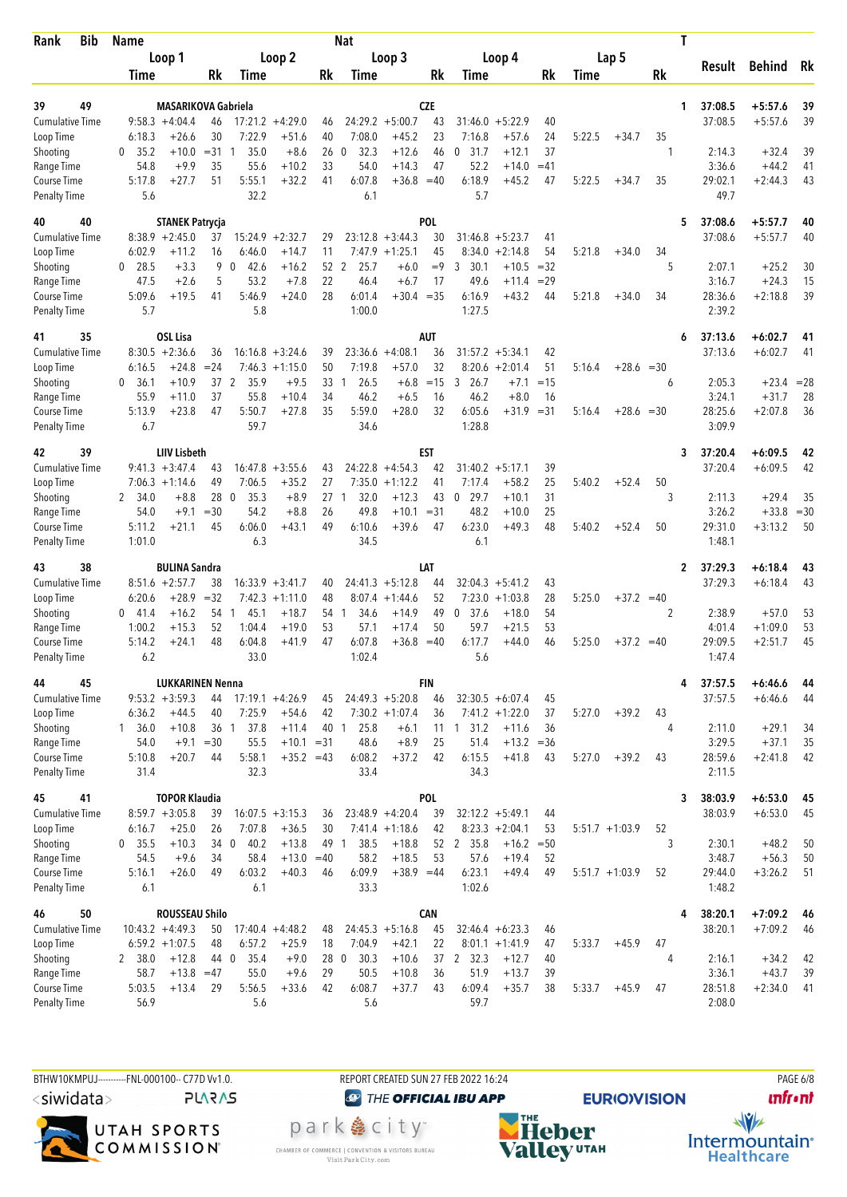| <b>Bib</b><br>Rank                  |  | <b>Name</b>          |                              |                 |                      |                                        |            | Nat                  |                                |              |                             |                               |          |        |                  |       | Τ |                   |                    |              |
|-------------------------------------|--|----------------------|------------------------------|-----------------|----------------------|----------------------------------------|------------|----------------------|--------------------------------|--------------|-----------------------------|-------------------------------|----------|--------|------------------|-------|---|-------------------|--------------------|--------------|
|                                     |  |                      | Loop 1                       |                 |                      | Loop 2                                 |            |                      | Loop 3                         |              |                             | Loop 4                        |          |        | Lap 5            |       |   |                   |                    |              |
|                                     |  | Time                 |                              | Rk              | Time                 |                                        | Rk         | Time                 |                                | Rk           | Time                        |                               | Rk       | Time   |                  | Rk    |   | Result            | <b>Behind</b>      | Rk           |
|                                     |  |                      |                              |                 |                      |                                        |            |                      |                                |              |                             |                               |          |        |                  |       |   |                   |                    |              |
| 49<br>39                            |  |                      | <b>MASARIKOVA Gabriela</b>   |                 |                      |                                        |            |                      |                                | <b>CZE</b>   |                             |                               |          |        |                  |       | 1 | 37:08.5           | $+5:57.6$          | 39           |
| <b>Cumulative Time</b><br>Loop Time |  | 6:18.3               | $9:58.3 +4:04.4$<br>$+26.6$  | 46<br>30        | 7:22.9               | $17:21.2 +4:29.0$<br>$+51.6$           | 46<br>40   | 7:08.0               | $24:29.2 + 5:00.7$<br>$+45.2$  | 43<br>23     | 31:46.0<br>7:16.8           | $+5:22.9$<br>$+57.6$          | 40<br>24 | 5:22.5 | $+34.7$          | 35    |   | 37:08.5           | $+5:57.6$          | 39           |
| Shooting                            |  | 35.2<br>0            | $+10.0$                      | $= 31$          | 35.0<br>1            | $+8.6$                                 | 26         | 32.3<br>0            | $+12.6$                        | 46           | 31.7<br>0                   | $+12.1$                       | 37       |        |                  | 1     |   | 2:14.3            | $+32.4$            | 39           |
| Range Time                          |  | 54.8                 | $+9.9$                       | 35              | 55.6                 | $+10.2$                                | 33         | 54.0                 | $+14.3$                        | 47           | 52.2                        | $+14.0$                       | $=41$    |        |                  |       |   | 3:36.6            | $+44.2$            | 41           |
| Course Time                         |  | 5:17.8               | $+27.7$                      | 51              | 5:55.1               | $+32.2$                                | 41         | 6:07.8               | $+36.8 = 40$                   |              | 6:18.9                      | $+45.2$                       | 47       | 5:22.5 | $+34.7$          | 35    |   | 29:02.1           | $+2:44.3$          | 43           |
| <b>Penalty Time</b>                 |  | 5.6                  |                              |                 | 32.2                 |                                        |            | 6.1                  |                                |              | 5.7                         |                               |          |        |                  |       |   | 49.7              |                    |              |
| 40<br>40                            |  |                      | <b>STANEK Patrycja</b>       |                 |                      |                                        |            |                      |                                | <b>POL</b>   |                             |                               |          |        |                  |       | 5 | 37:08.6           | $+5:57.7$          | 40           |
| <b>Cumulative Time</b>              |  |                      | $8:38.9 +2:45.0$             | 37              | 15:24.9              | $+2:32.7$                              | 29         |                      | $23:12.8 + 3:44.3$             | 30           |                             | $31:46.8 + 5:23.7$            | 41       |        |                  |       |   | 37:08.6           | $+5:57.7$          | 40           |
| Loop Time                           |  | 6:02.9               | +11.2                        | 16              | 6:46.0               | $+14.7$                                | 11         |                      | $7:47.9$ +1:25.1               | 45           | 8:34.0                      | $+2:14.8$                     | 54       | 5:21.8 | $+34.0$          | 34    |   |                   |                    |              |
| Shooting                            |  | $0$ 28.5             | $+3.3$                       | 9               | $\mathbf{0}$<br>42.6 | $+16.2$                                | 52         | 2<br>25.7            | $+6.0$                         | $=9$         | 3<br>30.1                   | $+10.5$                       | $=32$    |        |                  | 5     |   | 2:07.1            | $+25.2$            | 30           |
| Range Time                          |  | 47.5                 | $+2.6$                       | 5               | 53.2                 | $+7.8$                                 | 22         | 46.4                 | $+6.7$                         | 17           | 49.6                        | $+11.4$                       | $=29$    |        |                  |       |   | 3:16.7            | $+24.3$            | 15           |
| Course Time                         |  | 5:09.6               | $+19.5$                      | 41              | 5:46.9               | $+24.0$                                | 28         | 6:01.4               | $+30.4 = 35$                   |              | 6:16.9                      | $+43.2$                       | 44       | 5:21.8 | $+34.0$          | 34    |   | 28:36.6           | $+2:18.8$          | 39           |
| <b>Penalty Time</b>                 |  | 5.7                  |                              |                 | 5.8                  |                                        |            | 1:00.0               |                                |              | 1:27.5                      |                               |          |        |                  |       |   | 2:39.2            |                    |              |
| 35<br>41                            |  |                      | <b>OSL Lisa</b>              |                 |                      |                                        |            |                      |                                | <b>AUT</b>   |                             |                               |          |        |                  |       | 6 | 37:13.6           | $+6:02.7$          | 41           |
| <b>Cumulative Time</b>              |  |                      | $8:30.5 +2:36.6$             | 36              | 16:16.8              | $+3:24.6$                              | 39         |                      | $23:36.6 + 4:08.1$             | 36           | 31:57.2                     | $+5:34.1$                     | 42       |        |                  |       |   | 37:13.6           | $+6:02.7$          | 41           |
| Loop Time                           |  | 6:16.5               | $+24.8$                      | $= 24$          | 7:46.3               | $+1:15.0$                              | 50         | 7:19.8               | $+57.0$                        | 32           | 8:20.6                      | $+2:01.4$                     | 51       | 5:16.4 | $+28.6 = 30$     |       |   |                   |                    |              |
| Shooting                            |  | $\mathbf{0}$<br>36.1 | $+10.9$                      | 37 2            | 35.9                 | $+9.5$                                 | 33         | 26.5<br>1            | $+6.8$                         | $=15$        | 26.7<br>3                   | $+7.1$                        | $=15$    |        |                  | 6     |   | 2:05.3            | $+23.4$            | $= 28$       |
| Range Time                          |  | 55.9                 | $+11.0$                      | 37              | 55.8                 | $+10.4$                                | 34         | 46.2                 | $+6.5$                         | 16           | 46.2                        | $+8.0$                        | 16       |        |                  |       |   | 3:24.1            | $+31.7$            | 28           |
| Course Time<br><b>Penalty Time</b>  |  | 5:13.9<br>6.7        | $+23.8$                      | 47              | 5:50.7<br>59.7       | $+27.8$                                | 35         | 5:59.0<br>34.6       | $+28.0$                        | 32           | 6:05.6<br>1:28.8            | +31.9                         | $=31$    | 5:16.4 | $+28.6$          | $=30$ |   | 28:25.6<br>3:09.9 | $+2:07.8$          | 36           |
|                                     |  |                      |                              |                 |                      |                                        |            |                      |                                |              |                             |                               |          |        |                  |       |   |                   |                    |              |
| 39<br>42                            |  |                      | <b>LIIV Lisbeth</b>          |                 |                      |                                        |            |                      |                                | EST          |                             |                               |          |        |                  |       | 3 | 37:20.4           | $+6:09.5$          | 42           |
| <b>Cumulative Time</b>              |  |                      | $9:41.3 + 3:47.4$            | 43              |                      | $16:47.8 + 3:55.6$                     | 43         |                      | $24:22.8 + 4:54.3$             | 42           |                             | $31:40.2 + 5:17.1$            | 39       |        |                  |       |   | 37:20.4           | $+6:09.5$          | 42           |
| Loop Time                           |  |                      | $7:06.3 +1:14.6$             | 49              | 7:06.5               | $+35.2$                                | 27         | 7:35.0               | $+1:12.2$                      | 41           | 7:17.4                      | $+58.2$                       | 25       | 5:40.2 | $+52.4$          | 50    |   |                   |                    |              |
| Shooting<br>Range Time              |  | 2 34.0<br>54.0       | $+8.8$<br>$+9.1$             | 28 0<br>$=30$   | 35.3<br>54.2         | $+8.9$<br>$+8.8$                       | 27<br>26   | 32.0<br>1<br>49.8    | $+12.3$<br>$+10.1$             | 43<br>$= 31$ | 29.7<br>$\mathbf 0$<br>48.2 | $+10.1$<br>$+10.0$            | 31<br>25 |        |                  | 3     |   | 2:11.3<br>3:26.2  | $+29.4$<br>$+33.8$ | 35<br>$= 30$ |
| Course Time                         |  | 5:11.2               | $+21.1$                      | 45              | 6:06.0               | $+43.1$                                | 49         | 6:10.6               | $+39.6$                        | 47           | 6:23.0                      | $+49.3$                       | 48       | 5:40.2 | $+52.4$          | 50    |   | 29:31.0           | $+3:13.2$          | 50           |
| <b>Penalty Time</b>                 |  | 1:01.0               |                              |                 | 6.3                  |                                        |            | 34.5                 |                                |              | 6.1                         |                               |          |        |                  |       |   | 1:48.1            |                    |              |
|                                     |  |                      |                              |                 |                      |                                        |            |                      |                                |              |                             |                               |          |        |                  |       |   |                   |                    |              |
| 38<br>43                            |  |                      | <b>BULINA Sandra</b>         |                 |                      |                                        |            |                      |                                | LAT          |                             |                               |          |        |                  |       | 2 | 37:29.3           | $+6:18.4$          | 43           |
| <b>Cumulative Time</b><br>Loop Time |  | 6:20.6               | $8:51.6 + 2:57.7$<br>$+28.9$ | 38<br>$=32$     |                      | $16:33.9 + 3:41.7$<br>$7:42.3 +1:11.0$ | 40<br>48   | 8:07.4               | $24:41.3 +5:12.8$<br>$+1:44.6$ | 44<br>52     | 32:04.3                     | $+5:41.2$<br>$7:23.0 +1:03.8$ | 43<br>28 | 5:25.0 | $+37.2 = 40$     |       |   | 37:29.3           | $+6:18.4$          | 43           |
| Shooting                            |  | 0<br>41.4            | $+16.2$                      | 54 1            | 45.1                 | $+18.7$                                | 54         | 34.6<br>$\mathbf{1}$ | $+14.9$                        | 49           | 37.6<br>0                   | $+18.0$                       | 54       |        |                  | 2     |   | 2:38.9            | $+57.0$            | 53           |
| Range Time                          |  | 1:00.2               | $+15.3$                      | 52              | 1:04.4               | $+19.0$                                | 53         | 57.1                 | $+17.4$                        | 50           | 59.7                        | $+21.5$                       | 53       |        |                  |       |   | 4:01.4            | $+1:09.0$          | 53           |
| Course Time                         |  | 5:14.2               | $+24.1$                      | 48              | 6:04.8               | $+41.9$                                | 47         | 6:07.8               | $+36.8$                        | $=40$        | 6:17.7                      | $+44.0$                       | 46       | 5:25.0 | $+37.2 = 40$     |       |   | 29:09.5           | $+2:51.7$          | 45           |
| <b>Penalty Time</b>                 |  | 6.2                  |                              |                 | 33.0                 |                                        |            | 1:02.4               |                                |              | 5.6                         |                               |          |        |                  |       |   | 1:47.4            |                    |              |
| 45<br>44                            |  |                      | <b>LUKKARINEN Nenna</b>      |                 |                      |                                        |            |                      |                                | <b>FIN</b>   |                             |                               |          |        |                  |       | 4 | 37:57.5           | $+6:46.6$          | 44           |
| <b>Cumulative Time</b>              |  |                      | $9:53.2 +3:59.3$             | 44              |                      | $17:19.1 + 4:26.9$                     | 45         |                      | $24:49.3 + 5:20.8$             | 46           |                             | $32:30.5 + 6:07.4$            | 45       |        |                  |       |   | 37:57.5           | $+6:46.6$          | 44           |
| Loop Time                           |  | 6:36.2               | $+44.5$                      | 40              | 7:25.9               | $+54.6$                                | 42         |                      | $7:30.2 +1:07.4$               | 36           |                             | $7:41.2 + 1:22.0$             | 37       | 5:27.0 | $+39.2$          | 43    |   |                   |                    |              |
| Shooting                            |  | $1 \quad 36.0$       | $+10.8$                      | 36 <sub>1</sub> | 37.8                 | $+11.4$                                | 40         | 25.8<br>$\mathbf{1}$ | $+6.1$                         |              | 11 1 31.2                   | $+11.6$                       | 36       |        |                  | 4     |   | 2:11.0            | $+29.1$            | 34           |
| Range Time                          |  | 54.0                 | $+9.1$                       | $=30$           | 55.5                 | $+10.1$                                | $= 31$     | 48.6                 | $+8.9$                         | 25           | 51.4                        | $+13.2 = 36$                  |          |        |                  |       |   | 3:29.5            | $+37.1$            | 35           |
| Course Time                         |  | 5:10.8               | $+20.7$                      | 44              | 5:58.1               | $+35.2 = 43$                           |            | 6:08.2               | $+37.2$                        | 42           | 6:15.5                      | $+41.8$                       | 43       | 5:27.0 | $+39.2$          | 43    |   | 28:59.6           | $+2:41.8$          | 42           |
| <b>Penalty Time</b>                 |  | 31.4                 |                              |                 | 32.3                 |                                        |            | 33.4                 |                                |              | 34.3                        |                               |          |        |                  |       |   | 2:11.5            |                    |              |
| 45<br>41                            |  |                      | <b>TOPOR Klaudia</b>         |                 |                      |                                        |            |                      |                                | POL          |                             |                               |          |        |                  |       | 3 | 38:03.9           | $+6:53.0$          | 45           |
| <b>Cumulative Time</b>              |  |                      | $8:59.7 + 3:05.8$            | 39              |                      | $16:07.5 + 3:15.3$                     | 36         |                      | $23:48.9 +4:20.4$              | 39           |                             | $32:12.2 + 5:49.1$            | 44       |        |                  |       |   | 38:03.9           | $+6:53.0$          | 45           |
| Loop Time                           |  | 6:16.7               | $+25.0$                      | 26              | 7:07.8               | $+36.5$                                | 30         |                      | $7:41.4 +1:18.6$               | 42           |                             | $8:23.3 +2:04.1$              | 53       |        | $5:51.7 +1:03.9$ | 52    |   |                   |                    |              |
| Shooting                            |  | $0$ 35.5             | $+10.3$                      | 34 0            | 40.2                 | $+13.8$                                | 49 1       | 38.5                 | $+18.8$                        |              | 52 2 35.8                   | $+16.2 = 50$                  |          |        |                  | 3     |   | 2:30.1            | $+48.2$            | 50           |
| Range Time                          |  | 54.5                 | $+9.6$                       | 34<br>49        | 58.4                 | $+13.0$                                | $=40$      | 58.2                 | $+18.5$                        | 53           | 57.6                        | $+19.4$                       | 52       |        |                  |       |   | 3:48.7            | $+56.3$            | 50           |
| Course Time<br><b>Penalty Time</b>  |  | 5:16.1<br>6.1        | $+26.0$                      |                 | 6:03.2<br>6.1        | $+40.3$                                | 46         | 6:09.9<br>33.3       | $+38.9 = 44$                   |              | 6:23.1<br>1:02.6            | $+49.4$                       | 49       |        | $5:51.7 +1:03.9$ | 52    |   | 29:44.0<br>1:48.2 | $+3:26.2$          | 51           |
|                                     |  |                      |                              |                 |                      |                                        |            |                      |                                |              |                             |                               |          |        |                  |       |   |                   |                    |              |
| 50<br>46                            |  |                      | ROUSSEAU Shilo               |                 |                      |                                        |            |                      |                                | <b>CAN</b>   |                             |                               |          |        |                  |       | 4 | 38:20.1           | $+7:09.2$          | 46           |
| <b>Cumulative Time</b>              |  |                      | $10:43.2 +4:49.3$            | 50              |                      | $17:40.4 +4:48.2$                      | 48         |                      | $24:45.3 +5:16.8$              | 45           |                             | $32:46.4 + 6:23.3$            | 46       |        |                  |       |   | 38:20.1           | $+7:09.2$          | 46           |
| Loop Time                           |  |                      | $6:59.2 + 1:07.5$            | 48              | 6:57.2               | $+25.9$                                | 18         | 7:04.9               | $+42.1$                        | 22           |                             | $8:01.1 +1:41.9$              | 47       | 5:33.7 | $+45.9$          | 47    |   |                   |                    |              |
| Shooting<br>Range Time              |  | 2 38.0<br>58.7       | $+12.8$<br>$+13.8 = 47$      | 44 0            | 35.4<br>55.0         | $+9.0$<br>$+9.6$                       | 28 0<br>29 | 30.3<br>50.5         | $+10.6$<br>$+10.8$             | 36           | 37 2 32.3<br>51.9           | $+12.7$<br>$+13.7$            | 40<br>39 |        |                  | 4     |   | 2:16.1<br>3:36.1  | $+34.2$<br>$+43.7$ | 42<br>39     |
| Course Time                         |  | 5:03.5               | $+13.4$                      | 29              | 5:56.5               | $+33.6$                                | 42         | 6:08.7               | $+37.7$                        | 43           | 6:09.4                      | $+35.7$                       | 38       | 5:33.7 | $+45.9$          | 47    |   | 28:51.8           | $+2:34.0$          | 41           |
| <b>Penalty Time</b>                 |  | 56.9                 |                              |                 | 5.6                  |                                        |            | 5.6                  |                                |              | 59.7                        |                               |          |        |                  |       |   | 2:08.0            |                    |              |
|                                     |  |                      |                              |                 |                      |                                        |            |                      |                                |              |                             |                               |          |        |                  |       |   |                   |                    |              |

BTHW10KMPUJ----------FNL-000100-- C77D Vv1.0. REPORT CREATED SUN 27 FEB 2022 16:24 PAGE 6/8 <siwidata>

**PLARAS** 



**@** THE OFFICIAL IBU APP

park e city<sup>®</sup> CHAMBER OF COMMERCE | CONVENTION & VISITORS BUREAU<br>Visit Park City.com



**EURIO)VISION** 

**unfront** 

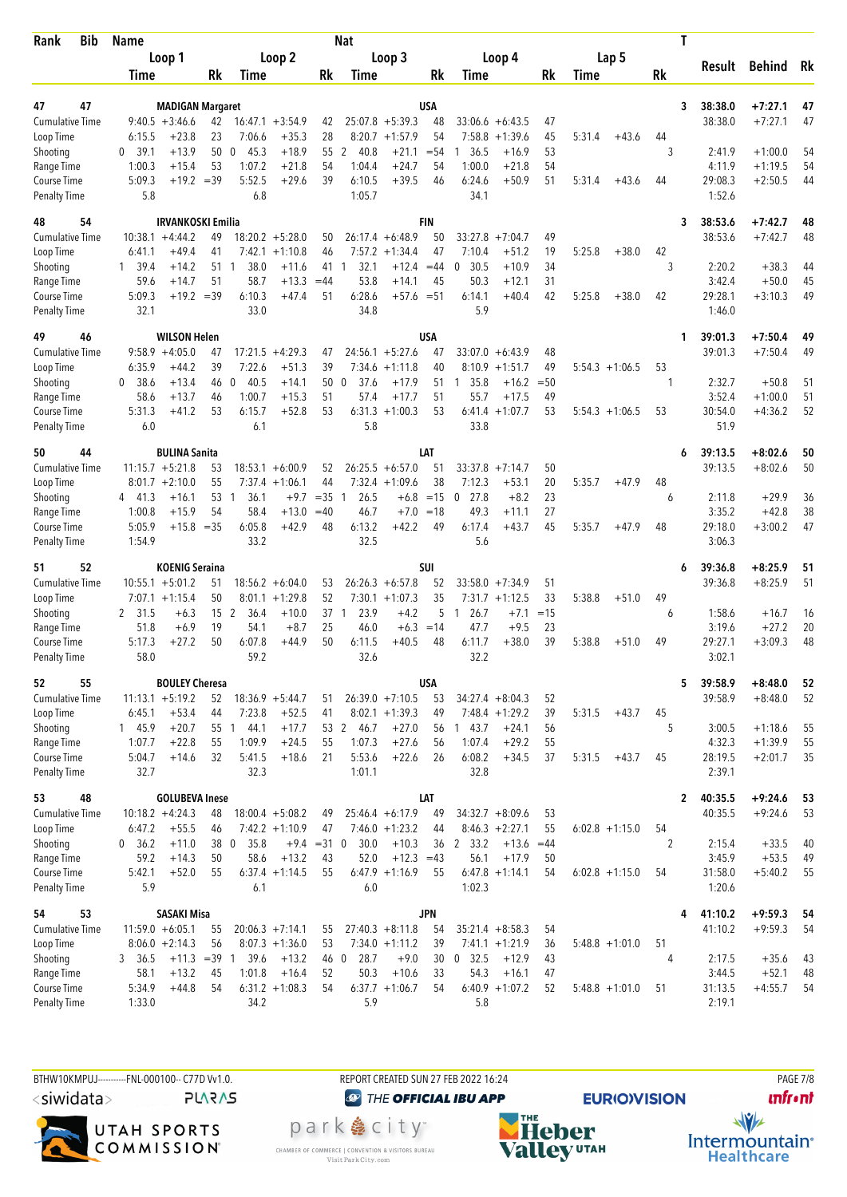| Rank                                | Bib | <b>Name</b>    |                                             |                 |                        |                               |                 | <b>Nat</b>             |                      |                  |                      |                      |          |        |                   |     | Τ            |                    |                        |          |
|-------------------------------------|-----|----------------|---------------------------------------------|-----------------|------------------------|-------------------------------|-----------------|------------------------|----------------------|------------------|----------------------|----------------------|----------|--------|-------------------|-----|--------------|--------------------|------------------------|----------|
|                                     |     |                | Loop 1                                      |                 |                        | Loop 2                        |                 |                        | Loop 3               |                  |                      | Loop 4               |          |        | Lap 5             |     |              |                    |                        |          |
|                                     |     | Time           |                                             | Rk              | Time                   |                               | Rk              | Time                   |                      | Rk               | Time                 |                      | Rk       | Time   |                   | Rk  |              | Result             | Behind                 | Rk       |
|                                     |     |                |                                             |                 |                        |                               |                 |                        |                      |                  |                      |                      |          |        |                   |     |              |                    |                        |          |
| 47<br>47                            |     |                | <b>MADIGAN Margaret</b><br>$9:40.5 +3:46.6$ |                 |                        |                               |                 |                        | $25:07.8 + 5:39.3$   | <b>USA</b><br>48 |                      | $33:06.6 + 6:43.5$   | 47       |        |                   |     | 3            | 38:38.0<br>38:38.0 | $+7:27.1$<br>$+7:27.1$ | 47<br>47 |
| <b>Cumulative Time</b><br>Loop Time |     | 6:15.5         | $+23.8$                                     | 42<br>23        | 7:06.6                 | $16:47.1 + 3:54.9$<br>$+35.3$ | 42<br>28        |                        | $8:20.7 +1:57.9$     | 54               | 7:58.8               | $+1:39.6$            | 45       | 5:31.4 | $+43.6$           | 44  |              |                    |                        |          |
| Shooting                            |     | 0, 39.1        | $+13.9$                                     | 50              | 45.3<br>$\mathbf 0$    | $+18.9$                       | 55              | 2<br>40.8              | $+21.1$              | $= 54$           | 36.5                 | $+16.9$              | 53       |        |                   | 3   |              | 2:41.9             | $+1:00.0$              | 54       |
| Range Time                          |     | 1:00.3         | $+15.4$                                     | 53              | 1:07.2                 | $+21.8$                       | 54              | 1:04.4                 | $+24.7$              | 54               | 1:00.0               | $+21.8$              | 54       |        |                   |     |              | 4:11.9             | $+1:19.5$              | 54       |
| Course Time                         |     | 5:09.3         | $+19.2 = 39$                                |                 | 5:52.5                 | $+29.6$                       | 39              | 6:10.5                 | $+39.5$              | 46               | 6:24.6               | $+50.9$              | 51       | 5:31.4 | $+43.6$           | 44  |              | 29:08.3            | $+2:50.5$              | 44       |
| <b>Penalty Time</b>                 |     | 5.8            |                                             |                 | 6.8                    |                               |                 | 1:05.7                 |                      |                  | 34.1                 |                      |          |        |                   |     |              | 1:52.6             |                        |          |
| 54<br>48                            |     |                | <b>IRVANKOSKI Emilia</b>                    |                 |                        |                               |                 |                        |                      | <b>FIN</b>       |                      |                      |          |        |                   |     | 3            | 38:53.6            | $+7:42.7$              | 48       |
| <b>Cumulative Time</b>              |     |                | $10:38.1 + 4:44.2$                          | 49              |                        | $18:20.2 + 5:28.0$            | 50              |                        | $26:17.4 + 6:48.9$   | 50               | 33:27.8              | $+7:04.7$            | 49       |        |                   |     |              | 38:53.6            | $+7:42.7$              | 48       |
| Loop Time                           |     | 6:41.1         | $+49.4$                                     | 41              |                        | $7:42.1 +1:10.8$              | 46              | 7:57.2                 | $+1:34.4$            | 47               | 7:10.4               | $+51.2$              | 19       | 5:25.8 | $+38.0$           | 42  |              |                    |                        |          |
| Shooting                            |     | 39.4<br>1      | $+14.2$                                     | 51              | 38.0<br>$\overline{1}$ | $+11.6$                       | 41              | 32.1<br>1              | $+12.4$              | $=44$            | $\mathbf 0$<br>30.5  | $+10.9$              | 34       |        |                   | 3   |              | 2:20.2             | $+38.3$                | 44       |
| Range Time                          |     | 59.6           | $+14.7$                                     | 51              | 58.7                   | $+13.3$                       | $=44$           | 53.8                   | $+14.1$              | 45               | 50.3                 | $+12.1$              | 31       |        |                   |     |              | 3:42.4             | $+50.0$                | 45       |
| Course Time                         |     | 5:09.3         | $+19.2 = 39$                                |                 | 6:10.3                 | $+47.4$                       | 51              | 6:28.6                 | $+57.6 = 51$         |                  | 6:14.1               | $+40.4$              | 42       | 5:25.8 | $+38.0$           | 42  |              | 29:28.1            | $+3:10.3$              | 49       |
| <b>Penalty Time</b>                 |     | 32.1           |                                             |                 | 33.0                   |                               |                 | 34.8                   |                      |                  | 5.9                  |                      |          |        |                   |     |              | 1:46.0             |                        |          |
| 49<br>46                            |     |                | <b>WILSON Helen</b>                         |                 |                        |                               |                 |                        |                      | USA              |                      |                      |          |        |                   |     | 1            | 39:01.3            | $+7:50.4$              | 49       |
| Cumulative Time                     |     |                | $9:58.9 + 4:05.0$                           | 47              | 17:21.5                | $+4:29.3$                     | 47              |                        | $24:56.1 + 5:27.6$   | 47               | 33:07.0              | $+6:43.9$            | 48       |        |                   |     |              | 39:01.3            | $+7:50.4$              | 49       |
| Loop Time                           |     | 6:35.9         | $+44.2$                                     | 39              | 7:22.6                 | $+51.3$                       | 39              | 7:34.6                 | $+1:11.8$            | 40               | 8:10.9               | $+1:51.7$            | 49       |        | $5:54.3 +1:06.5$  | 53  |              |                    |                        |          |
| Shooting                            |     | 0, 38.6        | $+13.4$                                     | 46              | 40.5<br>- 0            | $+14.1$                       | 50              | 37.6<br>0              | $+17.9$              | 51               | 35.8<br>1            | $+16.2$              | $= 50$   |        |                   | 1   |              | 2:32.7             | $+50.8$                | 51       |
| Range Time<br>Course Time           |     | 58.6<br>5:31.3 | $+13.7$<br>$+41.2$                          | 46<br>53        | 1:00.7<br>6:15.7       | $+15.3$<br>$+52.8$            | 51<br>53        | 57.4<br>6:31.3         | $+17.7$<br>$+1:00.3$ | 51<br>53         | 55.7<br>6:41.4       | $+17.5$<br>$+1:07.7$ | 49<br>53 |        | $5:54.3 +1:06.5$  | 53  |              | 3:52.4<br>30:54.0  | $+1:00.0$<br>$+4:36.2$ | 51<br>52 |
| <b>Penalty Time</b>                 |     | 6.0            |                                             |                 | 6.1                    |                               |                 | 5.8                    |                      |                  | 33.8                 |                      |          |        |                   |     |              | 51.9               |                        |          |
|                                     |     |                |                                             |                 |                        |                               |                 |                        |                      |                  |                      |                      |          |        |                   |     |              |                    |                        |          |
| 44<br>50<br><b>Cumulative Time</b>  |     |                | <b>BULINA Sanita</b><br>$11:15.7 + 5:21.8$  | 53              |                        | $18:53.1 + 6:00.9$            | 52              |                        | $26:25.5 + 6:57.0$   | LAT<br>51        | $33:37.8$ +7:14.7    |                      | 50       |        |                   |     | 6            | 39:13.5<br>39:13.5 | $+8:02.6$<br>$+8:02.6$ | 50<br>50 |
| Loop Time                           |     |                | $8:01.7 +2:10.0$                            | 55              |                        | $7:37.4$ +1:06.1              | 44              |                        | $7:32.4$ +1:09.6     | 38               | 7:12.3               | $+53.1$              | 20       | 5:35.7 | $+47.9$           | 48  |              |                    |                        |          |
| Shooting                            |     | 4 41.3         | $+16.1$                                     | 53              | 36.1<br>-1             | $+9.7$                        | $=35$           | 26.5<br>$\overline{1}$ | $+6.8$               | $=15$            | $\mathbf 0$<br>27.8  | $+8.2$               | 23       |        |                   | 6   |              | 2:11.8             | $+29.9$                | 36       |
| Range Time                          |     | 1:00.8         | $+15.9$                                     | 54              | 58.4                   | $+13.0$                       | $=40$           | 46.7                   | $+7.0$               | $=18$            | 49.3                 | $+11.1$              | 27       |        |                   |     |              | 3:35.2             | $+42.8$                | 38       |
| Course Time                         |     | 5:05.9         | $+15.8$                                     | $=35$           | 6:05.8                 | $+42.9$                       | 48              | 6:13.2                 | $+42.2$              | 49               | 6:17.4               | $+43.7$              | 45       | 5:35.7 | $+47.9$           | 48  |              | 29:18.0            | $+3:00.2$              | 47       |
| <b>Penalty Time</b>                 |     | 1:54.9         |                                             |                 | 33.2                   |                               |                 | 32.5                   |                      |                  | 5.6                  |                      |          |        |                   |     |              | 3:06.3             |                        |          |
| 52<br>51                            |     |                | <b>KOENIG Seraina</b>                       |                 |                        |                               |                 |                        |                      | <b>SUI</b>       |                      |                      |          |        |                   |     | 6            | 39:36.8            | $+8:25.9$              | 51       |
| <b>Cumulative Time</b>              |     |                | $10:55.1 + 5:01.2$                          | 51              |                        | $18:56.2 + 6:04.0$            | 53              |                        | $26:26.3 + 6:57.8$   | 52               |                      | $33:58.0 +7:34.9$    | 51       |        |                   |     |              | 39:36.8            | $+8:25.9$              | 51       |
| Loop Time                           |     |                | $7:07.1 + 1:15.4$                           | 50              | 8:01.1                 | $+1:29.8$                     | 52              |                        | $7:30.1 + 1:07.3$    | 35               |                      | $7:31.7 +1:12.5$     | 33       | 5:38.8 | $+51.0$           | 49  |              |                    |                        |          |
| Shooting                            |     | 2 31.5         | $+6.3$                                      | 15 <sub>2</sub> | 36.4                   | $+10.0$                       | 37 <sub>1</sub> | 23.9                   | $+4.2$               | 5                | 26.7<br>$\mathbf{1}$ | $+7.1$               | $=15$    |        |                   | 6   |              | 1:58.6             | $+16.7$                | 16       |
| Range Time                          |     | 51.8           | $+6.9$                                      | 19              | 54.1                   | $+8.7$                        | 25              | 46.0                   | $+6.3$               | $=14$            | 47.7                 | $+9.5$               | 23       |        |                   |     |              | 3:19.6             | $+27.2$                | 20       |
| Course Time<br><b>Penalty Time</b>  |     | 5:17.3<br>58.0 | +27.2                                       | 50              | 6:07.8<br>59.2         | $+44.9$                       | 50              | 6:11.5<br>32.6         | $+40.5$              | 48               | 6:11.7<br>32.2       | $+38.0$              | 39       | 5:38.8 | $+51.0$           | 49  |              | 29:27.1<br>3:02.1  | $+3:09.3$              | 48       |
|                                     |     |                |                                             |                 |                        |                               |                 |                        |                      |                  |                      |                      |          |        |                   |     |              |                    |                        |          |
| 55<br>52<br>Cumulative Time         |     |                | <b>BOULEY Cheresa</b><br>$11:13.1 + 5:19.2$ | 52              |                        | $18:36.9 + 5:44.7$            | 51              |                        | $26:39.0 +7:10.5$    | <b>USA</b><br>53 | $34:27.4 + 8:04.3$   |                      | 52       |        |                   |     | 5            | 39:58.9<br>39:58.9 | $+8:48.0$<br>$+8:48.0$ | 52<br>52 |
| Loop Time                           |     | 6:45.1         | $+53.4$                                     | 44              | 7:23.8                 | $+52.5$                       | 41              |                        | $8:02.1 +1:39.3$     | 49               |                      | $7:48.4 + 1:29.2$    | 39       | 5:31.5 | $+43.7$           | 45  |              |                    |                        |          |
| Shooting                            |     | 1 45.9         | $+20.7$                                     | 55 1            | -44.1                  | $+17.7$                       |                 | 46.7<br>53 2           | $+27.0$              | 56               | 143.7                | $+24.1$              | 56       |        |                   | 5   |              | 3:00.5             | $+1:18.6$              | 55       |
| Range Time                          |     | 1:07.7         | $+22.8$                                     | 55              | 1:09.9                 | $+24.5$                       | 55              | 1:07.3                 | $+27.6$              | 56               | 1:07.4               | $+29.2$              | 55       |        |                   |     |              | 4:32.3             | $+1:39.9$              | 55       |
| Course Time                         |     | 5:04.7         | $+14.6$                                     | 32              | 5:41.5                 | $+18.6$                       | 21              | 5:53.6                 | $+22.6$              | 26               | 6:08.2               | $+34.5$              | 37       | 5:31.5 | $+43.7$           | 45  |              | 28:19.5            | $+2:01.7$              | 35       |
| <b>Penalty Time</b>                 |     | 32.7           |                                             |                 | 32.3                   |                               |                 | 1:01.1                 |                      |                  | 32.8                 |                      |          |        |                   |     |              | 2:39.1             |                        |          |
| 48<br>53                            |     |                | <b>GOLUBEVA Inese</b>                       |                 |                        |                               |                 |                        |                      | LAT              |                      |                      |          |        |                   |     | $\mathbf{2}$ | 40:35.5            | $+9:24.6$              | 53       |
| <b>Cumulative Time</b>              |     |                | $10:18.2 + 4:24.3$                          | 48              |                        | $18:00.4 + 5:08.2$            | 49              |                        | $25:46.4 + 6:17.9$   | 49               | $34:32.7 + 8:09.6$   |                      | 53       |        |                   |     |              | 40:35.5            | $+9:24.6$              | 53       |
| Loop Time                           |     | 6:47.2         | $+55.5$                                     | 46              |                        | $7:42.2 +1:10.9$              | 47              |                        | $7:46.0 +1:23.2$     | 44               |                      | $8:46.3 +2:27.1$     | 55       |        | $6:02.8 +1:15.0$  | 54  |              |                    |                        |          |
| Shooting                            |     | 0, 36.2        | $+11.0$                                     | 38 0            | 35.8                   |                               | $+9.4 = 31$     | 30.0<br>$\mathbf 0$    | $+10.3$              | 36               | 2 33.2               | $+13.6$              | $=44$    |        |                   | 2   |              | 2:15.4             | $+33.5$                | 40       |
| Range Time                          |     | 59.2           | $+14.3$                                     | 50              | 58.6                   | $+13.2$                       | 43              | 52.0                   | $+12.3 = 43$         |                  | 56.1                 | $+17.9$              | 50       |        |                   |     |              | 3:45.9             | $+53.5$                | 49       |
| Course Time                         |     | 5:42.1         | $+52.0$                                     | 55              |                        | $6:37.4 +1:14.5$              | 55              |                        | $6:47.9 +1:16.9$     | 55               |                      | $6:47.8 +1:14.1$     | 54       |        | $6:02.8 +1:15.0$  | 54  |              | 31:58.0            | $+5:40.2$              | 55       |
| <b>Penalty Time</b>                 |     | 5.9            |                                             |                 | 6.1                    |                               |                 | 6.0                    |                      |                  | 1:02.3               |                      |          |        |                   |     |              | 1:20.6             |                        |          |
| 53<br>54                            |     |                | <b>SASAKI Misa</b>                          |                 |                        |                               |                 |                        |                      | <b>JPN</b>       |                      |                      |          |        |                   |     | 4            | 41:10.2            | $+9:59.3$              | - 54     |
| <b>Cumulative Time</b>              |     |                | $11:59.0 + 6:05.1$                          | 55              |                        | $20:06.3 +7:14.1$             | 55              |                        | $27:40.3 + 8:11.8$   | 54               | $35:21.4 + 8:58.3$   |                      | 54       |        |                   |     |              | 41:10.2            | $+9:59.3$              | 54       |
| Loop Time                           |     |                | $8:06.0 + 2:14.3$                           | 56              |                        | $8:07.3 +1:36.0$              | 53              |                        | $7:34.0 +1:11.2$     | 39               |                      | $7:41.1 + 1:21.9$    | 36       |        | $5:48.8 + 1:01.0$ | 51  |              |                    |                        |          |
| Shooting<br>Range Time              |     | 3 36.5<br>58.1 | $+11.3$<br>$+13.2$                          | $=39$ 1<br>45   | 39.6<br>1:01.8         | $+13.2$<br>$+16.4$            | 52              | 28.7<br>46 0<br>50.3   | $+9.0$<br>$+10.6$    | 30<br>33         | 0, 32.5<br>54.3      | $+12.9$<br>$+16.1$   | 43<br>47 |        |                   | 4   |              | 2:17.5<br>3:44.5   | $+35.6$<br>$+52.1$     | 43<br>48 |
| Course Time                         |     | 5:34.9         | $+44.8$                                     | 54              |                        | $6:31.2 +1:08.3$              | 54              |                        | $6:37.7 +1:06.7$     | 54               |                      | $6:40.9 +1:07.2$     | 52       |        | $5:48.8 + 1:01.0$ | -51 |              | 31:13.5            | $+4:55.7$              | 54       |
| <b>Penalty Time</b>                 |     | 1:33.0         |                                             |                 | 34.2                   |                               |                 | 5.9                    |                      |                  | 5.8                  |                      |          |        |                   |     |              | 2:19.1             |                        |          |
|                                     |     |                |                                             |                 |                        |                               |                 |                        |                      |                  |                      |                      |          |        |                   |     |              |                    |                        |          |

BTHW10KMPUJ-----------FNL-000100-- C77D Vv1.0. <siwidata>

**PLARAS** 



REPORT CREATED SUN 27 FEB 2022 16:24

CHAMBER OF COMMERCE | CONVENTION & VISITORS BUREAU<br>Visit Park City.com

**@** THE OFFICIAL IBU APP park e city<sup>®</sup>



**PAGE 7/8 unfront** 

 $\frac{1}{\sqrt{2}}$ Intermountain<sup>®</sup><br>Healthcare